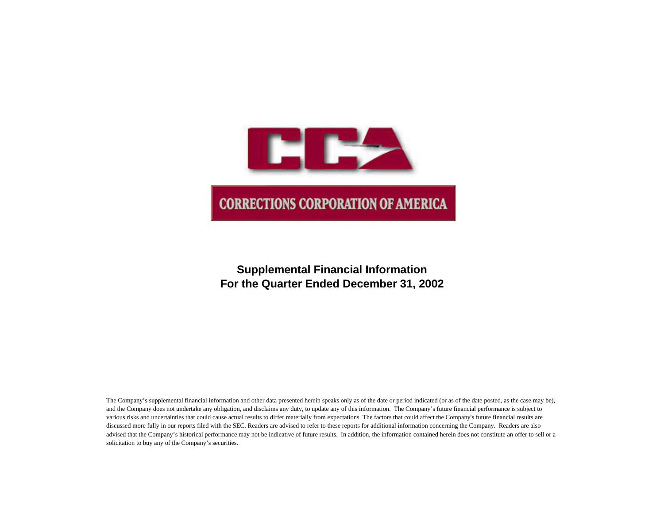

# **Supplemental Financial Information For the Quarter Ended December 31, 2002**

The Company's supplemental financial information and other data presented herein speaks only as of the date or period indicated (or as of the date posted, as the case may be), and the Company does not undertake any obligation, and disclaims any duty, to update any of this information. The Company's future financial performance is subject to various risks and uncertainties that could cause actual results to differ materially from expectations. The factors that could affect the Company's future financial results are discussed more fully in our reports filed with the SEC. Readers are advised to refer to these reports for additional information concerning the Company. Readers are also advised that the Company's historical performance may not be indicative of future results. In addition, the information contained herein does not constitute an offer to sell or a solicitation to buy any of the Company's securities.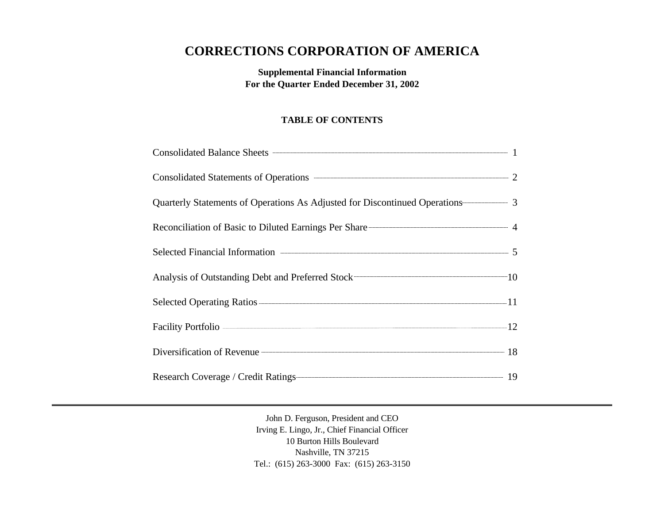# **CORRECTIONS CORPORATION OF AMERICA**

**Supplemental Financial Information For the Quarter Ended December 31, 2002**

## **TABLE OF CONTENTS**

| Quarterly Statements of Operations As Adjusted for Discontinued Operations————————————————————————— 3 |  |
|-------------------------------------------------------------------------------------------------------|--|
| Reconciliation of Basic to Diluted Earnings Per Share 2008 2014 2015                                  |  |
|                                                                                                       |  |
|                                                                                                       |  |
|                                                                                                       |  |
|                                                                                                       |  |
| Diversification of Revenue 28 28 28 28 28 29 20 21 32                                                 |  |
| Research Coverage / Credit Ratings 19                                                                 |  |

John D. Ferguson, President and CEO Irving E. Lingo, Jr., Chief Financial Officer 10 Burton Hills Boulevard Nashville, TN 37215 Tel.: (615) 263-3000 Fax: (615) 263-3150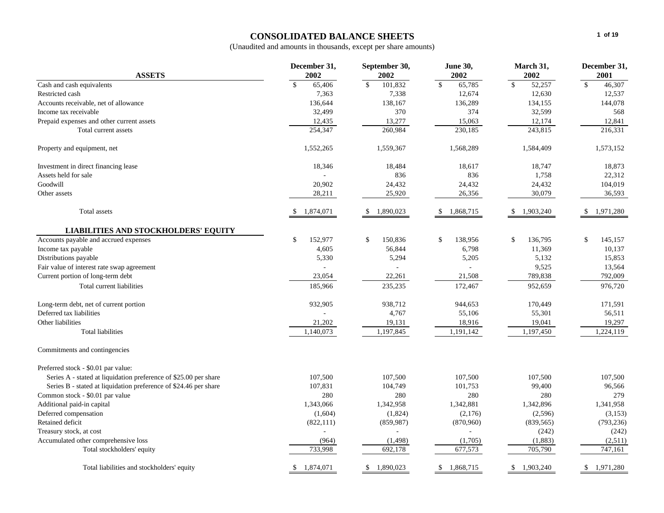## **CONSOLIDATED BALANCE SHEETS**

|                                                                  | December 31,               | September 30,             | <b>June 30,</b>            | March 31,              | December 31,           |
|------------------------------------------------------------------|----------------------------|---------------------------|----------------------------|------------------------|------------------------|
| <b>ASSETS</b>                                                    | 2002                       | 2002                      | 2002                       | 2002                   | 2001                   |
| Cash and cash equivalents                                        | $\mathbb{S}$<br>65,406     | $\mathcal{S}$<br>101,832  | $\mathbb{S}$<br>65,785     | $\mathbb{S}$<br>52,257 | $\mathbf{s}$<br>46,307 |
| Restricted cash                                                  | 7,363                      | 7,338                     | 12,674                     | 12,630                 | 12,537                 |
| Accounts receivable, net of allowance                            | 136,644                    | 138,167                   | 136,289                    | 134,155                | 144,078                |
| Income tax receivable                                            | 32,499                     | 370                       | 374                        | 32,599                 | 568                    |
| Prepaid expenses and other current assets                        | 12,435                     | 13,277                    | 15,063                     | 12,174                 | 12,841                 |
| Total current assets                                             | 254,347                    | 260,984                   | 230,185                    | 243,815                | 216,331                |
| Property and equipment, net                                      | 1,552,265                  | 1,559,367                 | 1,568,289                  | 1,584,409              | 1,573,152              |
| Investment in direct financing lease                             | 18,346                     | 18,484                    | 18,617                     | 18,747                 | 18,873                 |
| Assets held for sale                                             |                            | 836                       | 836                        | 1,758                  | 22,312                 |
| Goodwill                                                         | 20,902                     | 24,432                    | 24,432                     | 24,432                 | 104,019                |
| Other assets                                                     | 28,211                     | 25,920                    | 26,356                     | 30,079                 | 36,593                 |
| Total assets                                                     | 1,874,071<br><sup>\$</sup> | 1,890,023<br>-S           | 1,868,715<br><sup>\$</sup> | \$1,903,240            | \$1,971,280            |
| <b>LIABILITIES AND STOCKHOLDERS' EQUITY</b>                      |                            |                           |                            |                        |                        |
| Accounts payable and accrued expenses                            | \$<br>152,977              | \$<br>150,836             | \$<br>138,956              | \$<br>136,795          | \$<br>145,157          |
| Income tax payable                                               | 4,605                      | 56,844                    | 6,798                      | 11,369                 | 10,137                 |
| Distributions payable                                            | 5,330                      | 5,294                     | 5,205                      | 5,132                  | 15,853                 |
| Fair value of interest rate swap agreement                       |                            |                           |                            | 9,525                  | 13,564                 |
| Current portion of long-term debt                                | 23,054                     | 22,261                    | 21,508                     | 789,838                | 792,009                |
| Total current liabilities                                        | 185,966                    | 235,235                   | 172,467                    | 952,659                | 976,720                |
| Long-term debt, net of current portion                           | 932,905                    | 938,712                   | 944,653                    | 170,449                | 171,591                |
| Deferred tax liabilities                                         |                            | 4,767                     | 55,106                     | 55,301                 | 56,511                 |
| Other liabilities                                                | 21,202                     | 19,131                    | 18,916                     | 19,041                 | 19,297                 |
| <b>Total liabilities</b>                                         | 1,140,073                  | 1,197,845                 | 1,191,142                  | 1,197,450              | 1,224,119              |
| Commitments and contingencies                                    |                            |                           |                            |                        |                        |
| Preferred stock - \$0.01 par value:                              |                            |                           |                            |                        |                        |
| Series A - stated at liquidation preference of \$25.00 per share | 107,500                    | 107,500                   | 107,500                    | 107,500                | 107.500                |
| Series B - stated at liquidation preference of \$24.46 per share | 107,831                    | 104,749                   | 101,753                    | 99,400                 | 96,566                 |
| Common stock - \$0.01 par value                                  | 280                        | 280                       | 280                        | 280                    | 279                    |
| Additional paid-in capital                                       | 1,343,066                  | 1,342,958                 | 1,342,881                  | 1,342,896              | 1,341,958              |
| Deferred compensation                                            | (1,604)                    | (1,824)                   | (2,176)                    | (2,596)                | (3, 153)               |
| Retained deficit                                                 | (822, 111)                 | (859, 987)                | (870,960)                  | (839, 565)             | (793, 236)             |
| Treasury stock, at cost                                          |                            |                           |                            | (242)                  | (242)                  |
| Accumulated other comprehensive loss                             | (964)                      | (1, 498)                  | (1,705)                    | (1, 883)               | (2,511)                |
| Total stockholders' equity                                       | 733,998                    | 692,178                   | 677,573                    | 705,790                | 747,161                |
| Total liabilities and stockholders' equity                       | \$1,874,071                | $\mathbb{S}$<br>1,890,023 | \$1,868,715                | \$1,903,240            | \$1,971,280            |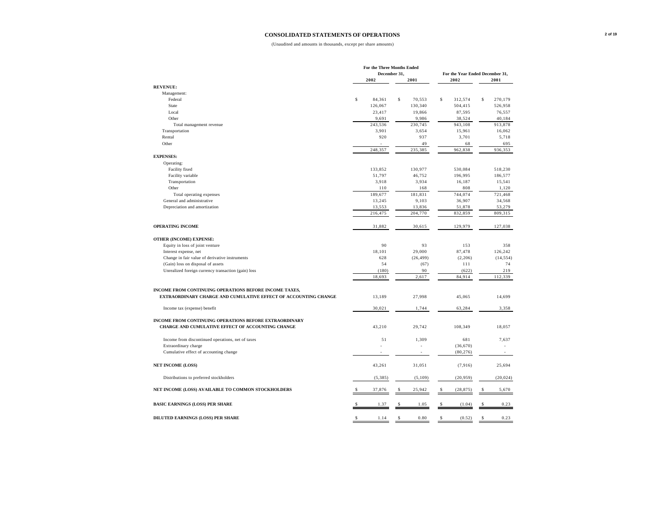#### **CONSOLIDATED STATEMENTS OF OPERATIONS**

|                                                                 |                    | For the Three Months Ended |              |           |                                 |             |           |
|-----------------------------------------------------------------|--------------------|----------------------------|--------------|-----------|---------------------------------|-------------|-----------|
|                                                                 |                    | December 31,               |              |           | For the Year Ended December 31, |             |           |
|                                                                 |                    | 2002                       |              | 2001      | 2002                            |             | 2001      |
| <b>REVENUE:</b>                                                 |                    |                            |              |           |                                 |             |           |
| Management:                                                     |                    |                            |              |           |                                 |             |           |
| Federal                                                         | $\mathsf{s}$       | 84,361                     | \$           | 70,553    | \$<br>312,574                   | \$          | 270,179   |
| State                                                           |                    | 126,067                    |              | 130,340   | 504,415                         |             | 526,958   |
| Local                                                           |                    | 23,417                     |              | 19,866    | 87,595                          |             | 76,557    |
| Other                                                           |                    | 9,691                      |              | 9,986     | 38,524                          |             | 40,184    |
| Total management revenue                                        |                    | 243,536                    |              | 230,745   | 943,108                         |             | 913,878   |
| Transportation                                                  |                    | 3,901                      |              | 3,654     | 15,961                          |             | 16,062    |
| Rental                                                          |                    | 920                        |              | 937       | 3,701                           |             | 5,718     |
| Other                                                           |                    |                            |              | 49        | 68                              |             | 695       |
|                                                                 |                    | 248,357                    |              | 235,385   | 962,838                         |             | 936,353   |
| <b>EXPENSES:</b>                                                |                    |                            |              |           |                                 |             |           |
| Operating:                                                      |                    |                            |              |           |                                 |             |           |
| Facility fixed                                                  |                    | 133,852                    |              | 130,977   | 530,084                         |             | 518,230   |
| Facility variable                                               |                    | 51,797                     |              | 46,752    | 196,995                         |             | 186,577   |
| Transportation                                                  |                    | 3,918                      |              | 3,934     | 16,187                          |             | 15,541    |
| Other                                                           |                    | 110                        |              | 168       | 808                             |             | 1,120     |
| Total operating expenses                                        |                    | 189,677                    |              | 181,831   | 744,074                         |             | 721,468   |
| General and administrative                                      |                    | 13,245                     |              | 9,103     | 36,907                          |             | 34,568    |
| Depreciation and amortization                                   |                    | 13,553                     |              | 13,836    | 51,878                          |             | 53,279    |
|                                                                 |                    | 216,475                    |              | 204,770   | 832,859                         |             | 809,315   |
|                                                                 |                    |                            |              |           |                                 |             |           |
| <b>OPERATING INCOME</b>                                         |                    | 31,882                     |              | 30,615    | 129,979                         |             | 127,038   |
|                                                                 |                    |                            |              |           |                                 |             |           |
| OTHER (INCOME) EXPENSE:                                         |                    |                            |              |           |                                 |             |           |
| Equity in loss of joint venture                                 |                    | 90                         |              | 93        | 153                             |             | 358       |
| Interest expense, net                                           |                    | 18.101                     |              | 29,000    | 87,478                          |             | 126,242   |
| Change in fair value of derivative instruments                  |                    | 628                        |              | (26, 499) | (2,206)                         |             | (14, 554) |
| (Gain) loss on disposal of assets                               |                    | 54                         |              | (67)      | 111                             |             | 74        |
| Unrealized foreign currency transaction (gain) loss             |                    | (180)                      |              | 90        | (622)                           |             | 219       |
|                                                                 |                    | 18,693                     |              | 2,617     | 84,914                          |             | 112,339   |
| INCOME FROM CONTINUING OPERATIONS BEFORE INCOME TAXES,          |                    |                            |              |           |                                 |             |           |
|                                                                 |                    |                            |              |           |                                 |             |           |
| EXTRAORDINARY CHARGE AND CUMULATIVE EFFECT OF ACCOUNTING CHANGE |                    | 13,189                     |              | 27,998    | 45,065                          |             | 14,699    |
| Income tax (expense) benefit                                    |                    | 30,021                     |              | 1,744     | 63,284                          |             | 3,358     |
|                                                                 |                    |                            |              |           |                                 |             |           |
| INCOME FROM CONTINUING OPERATIONS BEFORE EXTRAORDINARY          |                    |                            |              |           |                                 |             |           |
| CHARGE AND CUMULATIVE EFFECT OF ACCOUNTING CHANGE               |                    | 43,210                     |              | 29,742    | 108,349                         |             | 18,057    |
|                                                                 |                    |                            |              |           |                                 |             |           |
| Income from discontinued operations, net of taxes               |                    | 51                         |              | 1,309     | 681                             |             | 7,637     |
| Extraordinary charge                                            |                    |                            |              |           | (36, 670)                       |             |           |
| Cumulative effect of accounting change                          |                    |                            |              |           | (80, 276)                       |             |           |
| <b>NET INCOME (LOSS)</b>                                        |                    | 43,261                     |              | 31,051    | (7,916)                         |             | 25,694    |
| Distributions to preferred stockholders                         |                    | (5,385)                    |              | (5,109)   | (20, 959)                       |             | (20, 024) |
| NET INCOME (LOSS) AVAILABLE TO COMMON STOCKHOLDERS              |                    | 37,876                     | S            | 25,942    | (28, 875)                       |             | 5,670     |
|                                                                 |                    |                            |              |           |                                 |             |           |
| <b>BASIC EARNINGS (LOSS) PER SHARE</b>                          |                    | 1.37                       | \$           | 1.05      | (1.04)                          | \$          | 0.23      |
| <b>DILUTED EARNINGS (LOSS) PER SHARE</b>                        | $\mathbf{\hat{S}}$ | 1.14                       | $\mathbf{s}$ | 0.80      | \$<br>(0.52)                    | $\mathbf S$ | 0.23      |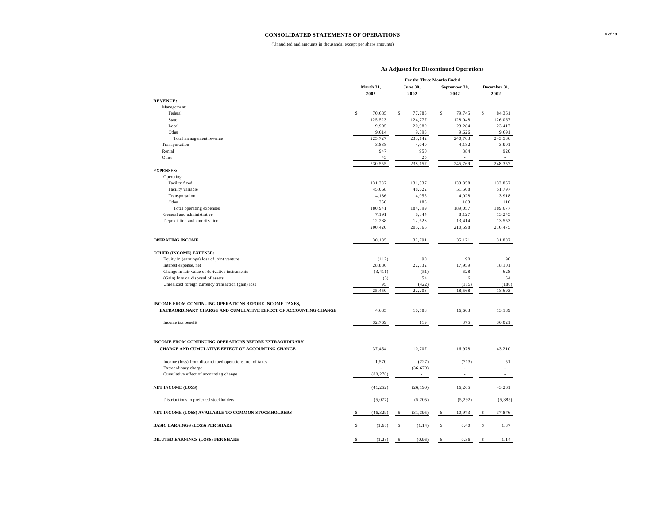#### **CONSOLIDATED STATEMENTS OF OPERATIONS**

|                                                                 |              | <b>As Adjusted for Discontinued Operations</b> |               |              |
|-----------------------------------------------------------------|--------------|------------------------------------------------|---------------|--------------|
|                                                                 |              | For the Three Months Ended                     |               |              |
|                                                                 |              |                                                |               |              |
|                                                                 | March 31,    | June 30,                                       | September 30, | December 31, |
|                                                                 | 2002         | 2002                                           | 2002          | 2002         |
| <b>REVENUE:</b>                                                 |              |                                                |               |              |
| Management:                                                     |              | \$                                             |               |              |
| Federal                                                         | \$<br>70,685 | 77,783                                         | \$<br>79,745  | \$<br>84,361 |
| State                                                           | 125,523      | 124,777                                        | 128,048       | 126,067      |
| Local<br>Other                                                  | 19,905       | 20,989                                         | 23,284        | 23,417       |
|                                                                 | 9,614        | 9,593                                          | 9,626         | 9,691        |
| Total management revenue                                        | 225,727      | 233,142                                        | 240,703       | 243,536      |
| Transportation                                                  | 3,838        | 4,040                                          | 4,182         | 3,901        |
| Rental                                                          | 947          | 950                                            | 884           | 920          |
| Other                                                           | 43           | 25                                             |               |              |
|                                                                 | 230,555      | 238,157                                        | 245,769       | 248,357      |
| <b>EXPENSES:</b>                                                |              |                                                |               |              |
| Operating:                                                      |              |                                                |               |              |
| Facility fixed                                                  | 131,337      | 131,537                                        | 133,358       | 133,852      |
| Facility variable                                               | 45,068       | 48,622                                         | 51,508        | 51,797       |
| Transportation                                                  | 4,186        | 4,055                                          | 4,028         | 3,918        |
| Other                                                           | 350          | 185                                            | 163           | 110          |
| Total operating expenses                                        | 180,941      | 184,399                                        | 189,057       | 189,677      |
| General and administrative                                      | 7,191        | 8,344                                          | 8,127         | 13,245       |
| Depreciation and amortization                                   | 12,288       | 12,623                                         | 13,414        | 13,553       |
|                                                                 | 200,420      | 205,366                                        | 210,598       | 216,475      |
|                                                                 |              |                                                |               |              |
| <b>OPERATING INCOME</b>                                         | 30,135       | 32,791                                         | 35,171        | 31,882       |
|                                                                 |              |                                                |               |              |
| OTHER (INCOME) EXPENSE:                                         |              |                                                |               |              |
| Equity in (earnings) loss of joint venture                      | (117)        | 90                                             | 90            | 90           |
| Interest expense, net                                           | 28,886       | 22,532                                         | 17,959        | 18,101       |
| Change in fair value of derivative instruments                  | (3, 411)     | (51)                                           | 628           | 628          |
| (Gain) loss on disposal of assets                               | (3)          | 54                                             | 6             | 54           |
| Unrealized foreign currency transaction (gain) loss             | 95           | (422)                                          | (115)         | (180)        |
|                                                                 | 25,450       | 22,203                                         | 18,568        | 18,693       |
|                                                                 |              |                                                |               |              |
| INCOME FROM CONTINUING OPERATIONS BEFORE INCOME TAXES,          |              |                                                |               |              |
| EXTRAORDINARY CHARGE AND CUMULATIVE EFFECT OF ACCOUNTING CHANGE | 4,685        | 10,588                                         | 16,603        | 13,189       |
| Income tax benefit                                              | 32,769       | 119                                            | 375           | 30,021       |
|                                                                 |              |                                                |               |              |
|                                                                 |              |                                                |               |              |
| INCOME FROM CONTINUING OPERATIONS BEFORE EXTRAORDINARY          |              |                                                |               |              |
| CHARGE AND CUMULATIVE EFFECT OF ACCOUNTING CHANGE               | 37,454       | 10,707                                         | 16,978        | 43,210       |
|                                                                 |              |                                                |               |              |
| Income (loss) from discontinued operations, net of taxes        | 1,570        | (227)                                          | (713)         | 51           |
| Extraordinary charge                                            |              | (36, 670)                                      |               |              |
| Cumulative effect of accounting change                          | (80, 276)    |                                                |               |              |
|                                                                 |              |                                                |               |              |
| <b>NET INCOME (LOSS)</b>                                        | (41, 252)    | (26, 190)                                      | 16,265        | 43,261       |
|                                                                 |              |                                                |               |              |
| Distributions to preferred stockholders                         | (5,077)      | (5,205)                                        | (5, 292)      | (5, 385)     |
| NET INCOME (LOSS) AVAILABLE TO COMMON STOCKHOLDERS              | (46, 329)    | (31, 395)                                      | \$<br>10,973  | \$<br>37,876 |
| <b>BASIC EARNINGS (LOSS) PER SHARE</b>                          | (1.68)       | (1.14)                                         | \$<br>0.40    | \$<br>1.37   |
|                                                                 |              |                                                |               |              |
| DILUTED EARNINGS (LOSS) PER SHARE                               | \$<br>(1.23) | \$<br>(0.96)                                   | \$<br>0.36    | \$<br>1.14   |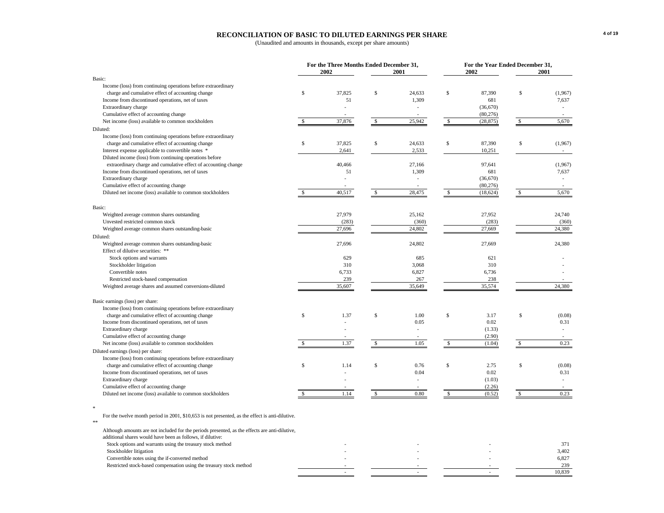#### **RECONCILIATION OF BASIC TO DILUTED EARNINGS PER SHARE**

(Unaudited and amounts in thousands, except per share amounts)

|                                                                                                             |               | For the Three Months Ended December 31,<br>2002 |                    | 2001                     |              | For the Year Ended December 31,<br>2002 | 2001          |
|-------------------------------------------------------------------------------------------------------------|---------------|-------------------------------------------------|--------------------|--------------------------|--------------|-----------------------------------------|---------------|
| Basic:                                                                                                      |               |                                                 |                    |                          |              |                                         |               |
| Income (loss) from continuing operations before extraordinary                                               |               |                                                 |                    |                          |              |                                         |               |
| charge and cumulative effect of accounting change                                                           | \$            | 37,825                                          | \$                 | 24,633                   | \$           | 87,390                                  | \$<br>(1,967) |
| Income from discontinued operations, net of taxes                                                           |               | 51                                              |                    | 1,309                    |              | 681                                     | 7,637         |
| Extraordinary charge                                                                                        |               |                                                 |                    |                          |              | (36,670)                                |               |
| Cumulative effect of accounting change                                                                      |               |                                                 |                    |                          |              | (80, 276)                               |               |
| Net income (loss) available to common stockholders                                                          | $\mathbf{s}$  | 37,876                                          | $\mathcal{S}$      | 25,942                   | $\mathbb{S}$ | (28, 875)                               | \$<br>5,670   |
| Diluted:                                                                                                    |               |                                                 |                    |                          |              |                                         |               |
| Income (loss) from continuing operations before extraordinary                                               |               |                                                 |                    |                          |              |                                         |               |
| charge and cumulative effect of accounting change                                                           | \$            | 37,825                                          | \$                 | 24,633                   | \$           | 87,390                                  | \$<br>(1,967) |
| Interest expense applicable to convertible notes *                                                          |               | 2,641                                           |                    | 2,533                    |              | 10,251                                  | $\sim$        |
| Diluted income (loss) from continuing operations before                                                     |               |                                                 |                    |                          |              |                                         |               |
| extraordinary charge and cumulative effect of accounting change                                             |               | 40,466                                          |                    | 27,166                   |              | 97,641                                  | (1,967)       |
| Income from discontinued operations, net of taxes                                                           |               | 51                                              |                    | 1,309                    |              | 681                                     | 7,637         |
| Extraordinary charge                                                                                        |               |                                                 |                    |                          |              | (36,670)                                |               |
| Cumulative effect of accounting change                                                                      |               |                                                 |                    |                          |              | (80, 276)                               |               |
| Diluted net income (loss) available to common stockholders                                                  | <sup>\$</sup> | 40,517                                          | $\mathbf{\hat{S}}$ | 28,475                   | \$           | (18, 624)                               | \$<br>5,670   |
|                                                                                                             |               |                                                 |                    |                          |              |                                         |               |
| Basic:                                                                                                      |               |                                                 |                    |                          |              |                                         |               |
| Weighted average common shares outstanding                                                                  |               | 27,979                                          |                    | 25,162                   |              | 27,952                                  | 24,740        |
| Unvested restricted common stock                                                                            |               | (283)                                           |                    | (360)                    |              | (283)                                   | (360)         |
| Weighted average common shares outstanding-basic                                                            |               | 27,696                                          |                    | 24,802                   |              | 27,669                                  | 24,380        |
| Diluted:                                                                                                    |               |                                                 |                    |                          |              |                                         |               |
| Weighted average common shares outstanding-basic                                                            |               | 27,696                                          |                    | 24,802                   |              | 27,669                                  | 24,380        |
| Effect of dilutive securities: **                                                                           |               |                                                 |                    |                          |              |                                         |               |
| Stock options and warrants                                                                                  |               | 629                                             |                    | 685                      |              | 621                                     |               |
| Stockholder litigation                                                                                      |               | 310                                             |                    | 3,068                    |              | 310                                     |               |
| Convertible notes                                                                                           |               | 6,733                                           |                    | 6,827                    |              | 6,736                                   |               |
| Restricted stock-based compensation                                                                         |               | 239                                             |                    | 267                      |              | 238                                     |               |
| Weighted average shares and assumed conversions-diluted                                                     |               | 35,607                                          |                    | 35,649                   |              | 35,574                                  | 24,380        |
|                                                                                                             |               |                                                 |                    |                          |              |                                         |               |
| Basic earnings (loss) per share:                                                                            |               |                                                 |                    |                          |              |                                         |               |
| Income (loss) from continuing operations before extraordinary                                               |               |                                                 |                    |                          |              |                                         |               |
| charge and cumulative effect of accounting change                                                           | \$            | 1.37                                            | \$                 | 1.00                     | \$           | 3.17                                    | \$<br>(0.08)  |
| Income from discontinued operations, net of taxes                                                           |               |                                                 |                    | 0.05                     |              | 0.02                                    | 0.31          |
| Extraordinary charge                                                                                        |               |                                                 |                    | ÷                        |              | (1.33)                                  | ×.            |
| Cumulative effect of accounting change                                                                      |               |                                                 |                    | $\overline{\phantom{a}}$ |              | (2.90)                                  |               |
| Net income (loss) available to common stockholders                                                          | S             | 1.37                                            | $\mathbf{\hat{S}}$ | 1.05                     | \$           | (1.04)                                  | \$<br>0.23    |
| Diluted earnings (loss) per share:                                                                          |               |                                                 |                    |                          |              |                                         |               |
| Income (loss) from continuing operations before extraordinary                                               |               |                                                 |                    |                          |              |                                         |               |
| charge and cumulative effect of accounting change                                                           | \$            | 1.14                                            | \$                 | 0.76                     | \$           | 2.75                                    | \$<br>(0.08)  |
| Income from discontinued operations, net of taxes                                                           |               |                                                 |                    | 0.04                     |              | 0.02                                    | 0.31          |
| Extraordinary charge                                                                                        |               |                                                 |                    |                          |              | (1.03)                                  |               |
| Cumulative effect of accounting change                                                                      |               |                                                 |                    |                          |              | (2.26)                                  |               |
| Diluted net income (loss) available to common stockholders                                                  | \$            | 1.14                                            | \$                 | 0.80                     | $\mathbb{S}$ | (0.52)                                  | \$<br>0.23    |
|                                                                                                             |               |                                                 |                    |                          |              |                                         |               |
| 宋                                                                                                           |               |                                                 |                    |                          |              |                                         |               |
| For the twelve month period in 2001, \$10,653 is not presented, as the effect is anti-dilutive.<br>$\pm\pm$ |               |                                                 |                    |                          |              |                                         |               |
| Although amounts are not included for the periods presented, as the effects are anti-dilutive,              |               |                                                 |                    |                          |              |                                         |               |
| additional shares would have been as follows, if dilutive:                                                  |               |                                                 |                    |                          |              |                                         |               |

 $-$  10,839

Stock options and warrants using the treasury stock method<br>Stockholder litigation and warrants using the treasury stock method and the stockholder litigation and warrants using the treasury stock method and stockholder lit

Stockholder litigation and the stockholder litigation and the stockholder litigation and the stockholder litigation and the stockholder litigation and the stockholder litigation and the stockholder litigation and the stock Convertible notes using the if-converted method  $\overline{a}$ 

Restricted stock-based compensation using the treasury stock method and a state of the context of the context of the context of the context of the context of the context of the context of the context of the context of the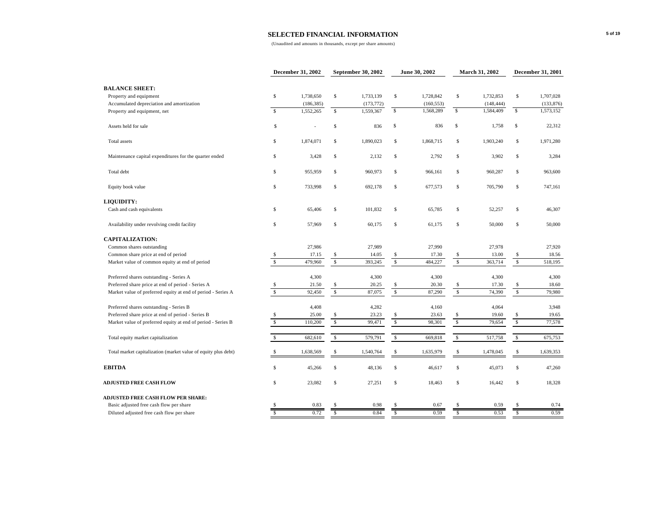|                                                                |                         | December 31, 2002 |              | September 30, 2002 |                         | June 30, 2002 |                          | <b>March 31, 2002</b> |              | December 31, 2001 |
|----------------------------------------------------------------|-------------------------|-------------------|--------------|--------------------|-------------------------|---------------|--------------------------|-----------------------|--------------|-------------------|
| <b>BALANCE SHEET:</b>                                          |                         |                   |              |                    |                         |               |                          |                       |              |                   |
| Property and equipment                                         | $\mathbb S$             | 1,738,650         | $\mathbb S$  | 1,733,139          | $\mathbb{S}$            | 1,728,842     | $\mathbb S$              | 1,732,853             | $\mathbb S$  | 1,707,028         |
| Accumulated depreciation and amortization                      |                         | (186, 385)        |              | (173, 772)         |                         | (160, 553)    |                          | (148, 444)            |              | (133, 876)        |
| Property and equipment, net                                    | $\mathbb{S}$            | 1,552,265         | $\mathbb{S}$ | 1,559,367          | \$                      | 1,568,289     | S                        | 1,584,409             | \$           | 1,573,152         |
| Assets held for sale                                           | s                       |                   | \$           | 836                | \$                      | 836           | s                        | 1,758                 | \$           | 22,312            |
| Total assets                                                   | $\mathbb S$             | 1,874,071         | $\mathbb S$  | 1,890,023          | $\mathbb{S}$            | 1,868,715     | $\mathbb S$              | 1,903,240             | \$           | 1,971,280         |
| Maintenance capital expenditures for the quarter ended         | \$                      | 3,428             | \$           | 2,132              | S                       | 2,792         | \$                       | 3,902                 | s            | 3,284             |
| Total debt                                                     | s                       | 955,959           | \$           | 960,973            | S                       | 966,161       | \$                       | 960,287               | \$           | 963,600           |
| Equity book value                                              | Ŝ                       | 733,998           | $\mathbb S$  | 692,178            | $\mathbb{S}$            | 677,573       | $\mathbb S$              | 705,790               | $\mathbb S$  | 747,161           |
| <b>LIQUIDITY:</b>                                              |                         |                   |              |                    |                         |               |                          |                       |              |                   |
| Cash and cash equivalents                                      | \$                      | 65,406            | \$           | 101,832            | $\mathbb{S}$            | 65,785        | \$                       | 52,257                | \$           | 46,307            |
| Availability under revolving credit facility                   | $\mathbb S$             | 57,969            | \$           | 60,175             | $\mathbb{S}$            | 61,175        | $\mathbb S$              | 50,000                | $\mathbb{S}$ | 50,000            |
| <b>CAPITALIZATION:</b>                                         |                         |                   |              |                    |                         |               |                          |                       |              |                   |
| Common shares outstanding                                      |                         | 27,986            |              | 27,989             |                         | 27,990        |                          | 27,978                |              | 27,920            |
| Common share price at end of period                            | -S                      | 17.15             | \$           | 14.05              | S                       | 17.30         | \$                       | 13.00                 | S            | 18.56             |
| Market value of common equity at end of period                 | $\overline{\mathbf{s}}$ | 479,960           | $\mathbb{S}$ | 393,245            | $\overline{\mathbf{s}}$ | 484,227       | $\overline{\mathcal{S}}$ | 363,714               | $\sqrt{s}$   | 518,195           |
| Preferred shares outstanding - Series A                        |                         | 4,300             |              | 4,300              |                         | 4,300         |                          | 4,300                 |              | 4,300             |
| Preferred share price at end of period - Series A              | S                       | 21.50             | S            | 20.25              | S                       | 20.30         | \$                       | 17.30                 | \$           | 18.60             |
| Market value of preferred equity at end of period - Series A   | $\mathbb S$             | 92,450            | $\mathbb{S}$ | 87,075             | $\mathbb{S}$            | 87,290        | $\mathbb{S}$             | 74,390                | $\mathbb{S}$ | 79,980            |
| Preferred shares outstanding - Series B                        |                         | 4,408             |              | 4,282              |                         | 4,160         |                          | 4,064                 |              | 3,948             |
| Preferred share price at end of period - Series B              | s                       | 25.00             | \$           | 23.23              | S                       | 23.63         | $\mathbb{S}$             | 19.60                 | \$           | 19.65             |
| Market value of preferred equity at end of period - Series B   | $\mathbf{s}$            | 110,200           | $\mathbb S$  | 99,471             | $\mathbb S$             | 98,301        | $\mathbb S$              | 79,654                | $\mathbb{S}$ | 77,578            |
| Total equity market capitalization                             | $\mathbb{S}$            | 682,610           | $\mathbb{S}$ | 579,791            | $\mathbb{S}$            | 669,818       | $\mathbb{S}$             | 517,758               | $\mathbb{S}$ | 675,753           |
| Total market capitalization (market value of equity plus debt) | S                       | 1,638,569         | \$           | 1,540,764          | $\mathbb{S}$            | 1,635,979     | \$                       | 1,478,045             | $\mathbb{S}$ | 1,639,353         |
| <b>EBITDA</b>                                                  | $\mathbb{S}$            | 45,266            | $\mathbb{S}$ | 48,136             | $\mathbb{S}$            | 46,617        | $\mathbb S$              | 45,073                | $\mathbb S$  | 47,260            |
| <b>ADJUSTED FREE CASH FLOW</b>                                 | \$                      | 23,082            | \$           | 27,251             | $\mathbb{S}$            | 18,463        | \$                       | 16,442                | \$           | 18,328            |
| <b>ADJUSTED FREE CASH FLOW PER SHARE:</b>                      |                         |                   |              |                    |                         |               |                          |                       |              |                   |
| Basic adjusted free cash flow per share                        |                         | 0.83              | S.           | 0.98               | <b>S</b>                | 0.67          | S                        | 0.59                  | \$.          | 0.74              |
| Diluted adjusted free cash flow per share                      | $\overline{s}$          | 0.72              | Ŝ            | 0.84               | $\overline{\mathbf{s}}$ | 0.59          | Ŝ                        | 0.53                  | Ŝ            | 0.59              |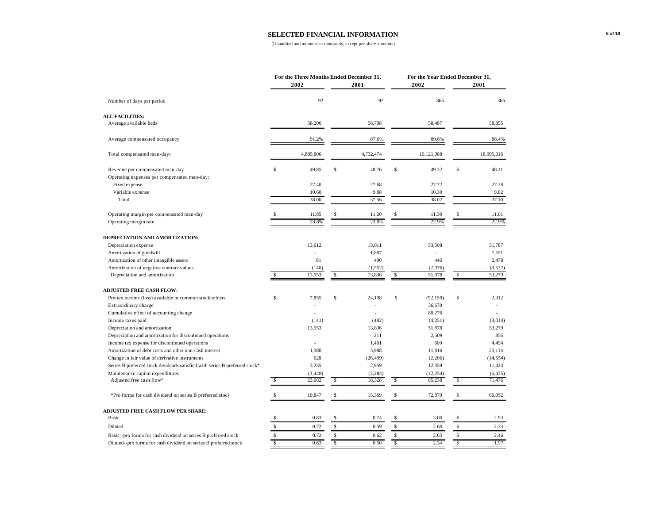|                                                                             |                         | For the Three Months Ended December 31, |             |                    |                         | For the Year Ended December 31, |                         |                    |
|-----------------------------------------------------------------------------|-------------------------|-----------------------------------------|-------------|--------------------|-------------------------|---------------------------------|-------------------------|--------------------|
|                                                                             |                         | 2002                                    |             | 2001               |                         | 2002                            |                         | 2001               |
| Number of days per period                                                   |                         | 92                                      |             | 92                 |                         | 365                             |                         | 365                |
| <b>ALL FACILITIES:</b>                                                      |                         |                                         |             |                    |                         |                                 |                         |                    |
| Average available beds                                                      |                         | 58,206                                  |             | 58,708             |                         | 58,487                          |                         | 58,855             |
| Average compensated occupancy                                               |                         | 91.2%                                   |             | 87.6%              |                         | 89.6%                           |                         | 88.4%              |
| Total compensated man-days                                                  |                         | 4,885,806                               |             | 4,732,474          |                         | 19,121,088                      |                         | 18,995,016         |
| Revenue per compensated man-day                                             | $\mathbb{S}$            | 49.85                                   | Ŝ           | 48.76              | $\mathbb{S}$            | 49.32                           | $\mathsf{s}$            | 48.11              |
| Operating expenses per compensated man-day:                                 |                         |                                         |             |                    |                         |                                 |                         |                    |
| Fixed expense                                                               |                         | 27.40                                   |             | 27.68              |                         | 27.72                           |                         | 27.28              |
| Variable expense                                                            |                         | 10.60                                   |             | 9.88               |                         | 10.30                           |                         | 9.82               |
| Total                                                                       |                         | 38.00                                   |             | 37.56              |                         | 38.02                           |                         | 37.10              |
| Operating margin per compensated man-day                                    |                         | 11.85                                   |             | 11.20              |                         | 11.30                           |                         | 11.01              |
| Operating margin rate                                                       |                         | 23.8%                                   |             | 23.0%              |                         | 22.9%                           |                         | 22.9%              |
| DEPRECIATION AND AMORTIZATION:                                              |                         |                                         |             |                    |                         |                                 |                         |                    |
| Depreciation expense                                                        |                         | 13,612                                  |             | 13,011             |                         | 53,508                          |                         | 51,787             |
| Amortization of goodwill                                                    |                         |                                         |             | 1,887              |                         |                                 |                         | 7,551              |
| Amortization of other intangible assets                                     |                         | 81                                      |             | 490                |                         | 446                             |                         | 2,478              |
| Amortization of negative contract values                                    |                         | (140)                                   |             | (1, 552)           |                         | (2,076)                         |                         | (8, 537)           |
| Depreciation and amortization                                               | $\mathsf{s}$            | 13,553                                  | \$          | 13,836             | \$                      | 51,878                          | \$                      | 53,279             |
| <b>ADJUSTED FREE CASH FLOW:</b>                                             |                         |                                         |             |                    |                         |                                 |                         |                    |
| Pre-tax income (loss) available to common stockholders                      | Ŝ                       | 7.855                                   | Ŝ           | 24.198             | \$                      | (92, 159)                       | $\mathsf{s}$            | 2,312              |
| Extraordinary charge                                                        |                         |                                         |             |                    |                         | 36,670                          |                         |                    |
| Cumulative effect of accounting change                                      |                         |                                         |             |                    |                         | 80,276                          |                         |                    |
| Income taxes paid                                                           |                         | (141)                                   |             | (482)              |                         | (4,251)                         |                         | (3,014)            |
| Depreciation and amortization                                               |                         | 13,553                                  |             | 13,836             |                         | 51,878                          |                         | 53,279             |
| Depreciation and amortization for discontinued operations                   |                         |                                         |             | 211                |                         | 2,509                           |                         | 856                |
| Income tax expense for discontinued operations                              |                         | L,                                      |             | 1,401              |                         | 600                             |                         | 4,494              |
| Amortization of debt costs and other non-cash interest                      |                         | 1,380                                   |             | 5,988              |                         | 11,816                          |                         | 23,114             |
|                                                                             |                         | 628                                     |             |                    |                         |                                 |                         |                    |
| Change in fair value of derivative instruments                              |                         |                                         |             | (26, 499)          |                         | (2,206)                         |                         | (14, 554)          |
| Series B preferred stock dividends satisfied with series B preferred stock* |                         | 3,235                                   |             | 2,959              |                         | 12,359                          |                         | 11,424             |
| Maintenance capital expenditures<br>Adjusted free cash flow*                | S                       | (3, 428)<br>23,082                      | \$          | (3, 284)<br>18,328 | \$                      | (12, 254)<br>85,238             | S                       | (6, 435)<br>71,476 |
|                                                                             |                         |                                         |             |                    |                         |                                 |                         |                    |
| *Pro forma for cash dividend on series B preferred stock                    | S                       | 19,847                                  | Ŝ           | 15,369             | \$                      | 72,879                          | \$                      | 60,052             |
| <b>ADJUSTED FREE CASH FLOW PER SHARE:</b>                                   |                         |                                         |             |                    |                         |                                 |                         |                    |
| Basic                                                                       | S                       | 0.83                                    | \$          | 0.74               | \$                      | 3.08                            | s                       | 2.93               |
| Diluted                                                                     | $\mathbb{S}$            | 0.72                                    | $\mathbb S$ | 0.59               | \$                      | 2.68                            | $\mathbb{S}$            | 2.33               |
| Basic--pro forma for cash dividend on series B preferred stock              | $\mathbb{S}$            | 0.72                                    | s           | 0.62               | $\mathbb{S}$            | 2.63                            | \$                      | 2.46               |
| Diluted--pro forma for cash dividend on series B preferred stock            | $\overline{\mathbf{s}}$ | 0.63                                    | S           | 0.50               | $\overline{\mathsf{s}}$ | 2.34                            | $\overline{\mathbf{s}}$ | 1.97               |
|                                                                             |                         |                                         |             |                    |                         |                                 |                         |                    |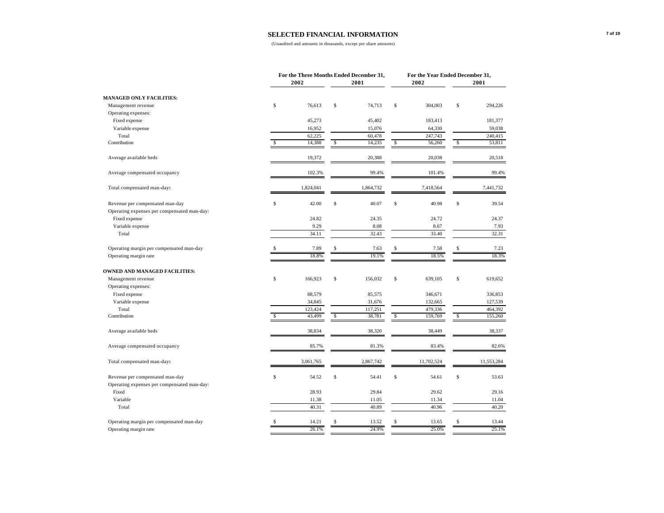|                                             |              | For the Three Months Ended December 31, |    |           |              | For the Year Ended December 31, |              |            |
|---------------------------------------------|--------------|-----------------------------------------|----|-----------|--------------|---------------------------------|--------------|------------|
|                                             |              | 2002                                    |    | 2001      |              | 2002                            |              | 2001       |
| <b>MANAGED ONLY FACILITIES:</b>             |              |                                         |    |           |              |                                 |              |            |
| Management revenue                          | $\mathbb S$  | 76,613                                  | \$ | 74,713    | $\mathbb{S}$ | 304,003                         | $\mathbb S$  | 294,226    |
| Operating expenses:                         |              |                                         |    |           |              |                                 |              |            |
| Fixed expense                               |              | 45,273                                  |    | 45,402    |              | 183,413                         |              | 181,377    |
| Variable expense                            |              | 16,952                                  |    | 15,076    |              | 64,330                          |              | 59,038     |
| Total                                       |              | 62,225                                  |    | 60,478    |              | 247,743                         |              | 240,415    |
| Contribution                                | $\mathsf{s}$ | 14,388                                  | \$ | 14,235    | $\mathbb{S}$ | 56,260                          | $\mathbb{S}$ | 53,811     |
| Average available beds                      |              | 19,372                                  |    | 20,388    |              | 20,038                          |              | 20,518     |
| Average compensated occupancy               |              | 102.3%                                  |    | 99.4%     |              | 101.4%                          |              | 99.4%      |
| Total compensated man-days                  |              | 1,824,041                               |    | 1,864,732 |              | 7,418,564                       |              | 7,441,732  |
|                                             |              |                                         |    |           |              |                                 |              |            |
| Revenue per compensated man-day             | Ŝ            | 42.00                                   | \$ | 40.07     | \$           | 40.98                           | \$           | 39.54      |
| Operating expenses per compensated man-day: |              |                                         |    |           |              |                                 |              |            |
| Fixed expense                               |              | 24.82                                   |    | 24.35     |              | 24.72                           |              | 24.37      |
| Variable expense                            |              | 9.29                                    |    | 8.08      |              | 8.67                            |              | 7.93       |
| Total                                       |              | 34.11                                   |    | 32.43     |              | 33.40                           |              | 32.31      |
| Operating margin per compensated man-day    |              | 7.89                                    | \$ | 7.63      | \$           | 7.58                            | \$           | 7.23       |
| Operating margin rate                       |              | 18.8%                                   |    | 19.1%     |              | 18.5%                           |              | 18.3%      |
| <b>OWNED AND MANAGED FACILITIES:</b>        |              |                                         |    |           |              |                                 |              |            |
| Management revenue                          | $\mathbb S$  | 166,923                                 | \$ | 156,032   | $\mathbb{S}$ | 639,105                         | $\mathbb S$  | 619,652    |
| Operating expenses:                         |              |                                         |    |           |              |                                 |              |            |
| Fixed expense                               |              | 88,579                                  |    | 85,575    |              | 346,671                         |              | 336,853    |
| Variable expense                            |              | 34,845                                  |    | 31,676    |              | 132,665                         |              | 127,539    |
| Total                                       |              | 123,424                                 |    | 117,251   |              | 479,336                         |              | 464,392    |
| Contribution                                | S            | 43,499                                  | \$ | 38,781    | s            | 159,769                         | s            | 155,260    |
| Average available beds                      |              | 38,834                                  |    | 38,320    |              | 38,449                          |              | 38,337     |
| Average compensated occupancy               |              | 85.7%                                   |    | 81.3%     |              | 83.4%                           |              | 82.6%      |
| Total compensated man-days                  |              | 3,061,765                               |    | 2,867,742 |              | 11,702,524                      |              | 11,553,284 |
| Revenue per compensated man-day             | $\mathbb{S}$ | 54.52                                   | \$ | 54.41     | $\mathbb{S}$ | 54.61                           | $\mathbb S$  | 53.63      |
| Operating expenses per compensated man-day: |              |                                         |    |           |              |                                 |              |            |
| Fixed                                       |              | 28.93                                   |    | 29.84     |              | 29.62                           |              | 29.16      |
| Variable                                    |              | 11.38                                   |    | 11.05     |              | 11.34                           |              | 11.04      |
| Total                                       |              | 40.31                                   |    | 40.89     |              | 40.96                           |              | 40.20      |
| Operating margin per compensated man-day    |              | 14.21                                   | Ŝ  | 13.52     | Ś            | 13.65                           | \$           | 13.44      |
| Operating margin rate                       |              | 26.1%                                   |    | 24.9%     |              | 25.0%                           |              | 25.1%      |
|                                             |              |                                         |    |           |              |                                 |              |            |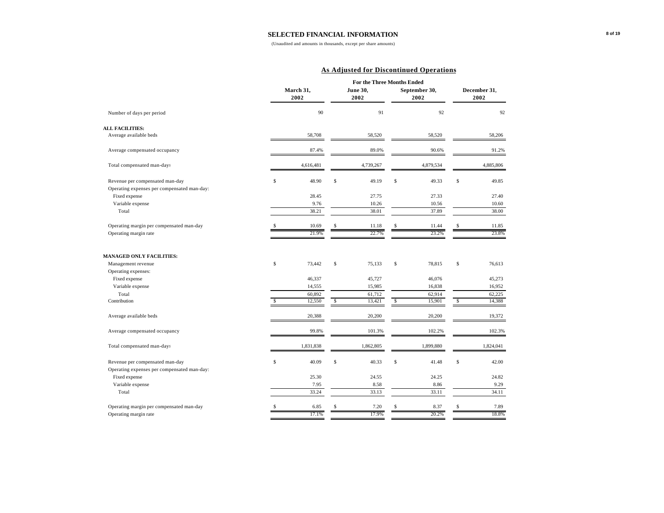(Unaudited and amounts in thousands, except per share amounts)

#### **As Adjusted for Discontinued Operations**

|                                             |              |                   |              | <b>For the Three Months Ended</b> |              |                       |              |                      |
|---------------------------------------------|--------------|-------------------|--------------|-----------------------------------|--------------|-----------------------|--------------|----------------------|
|                                             |              | March 31,<br>2002 |              | June 30.<br>2002                  |              | September 30.<br>2002 |              | December 31.<br>2002 |
| Number of days per period                   |              | 90                |              | 91                                |              | 92                    |              | 92                   |
| <b>ALL FACILITIES:</b>                      |              |                   |              |                                   |              |                       |              |                      |
| Average available beds                      |              | 58,708            |              | 58,520                            |              | 58,520                |              | 58,206               |
| Average compensated occupancy               |              | 87.4%             |              | 89.0%                             |              | 90.6%                 |              | 91.2%                |
| Total compensated man-days                  |              | 4,616,481         |              | 4,739,267                         |              | 4,879,534             |              | 4,885,806            |
| Revenue per compensated man-day             | $\mathbb{S}$ | 48.90             | \$           | 49.19                             | \$           | 49.33                 | $\mathbb S$  | 49.85                |
| Operating expenses per compensated man-day: |              |                   |              |                                   |              |                       |              |                      |
| Fixed expense                               |              | 28.45             |              | 27.75                             |              | 27.33                 |              | 27.40                |
| Variable expense                            |              | 9.76              |              | 10.26                             |              | 10.56                 |              | 10.60                |
| Total                                       |              | 38.21             |              | 38.01                             |              | 37.89                 |              | 38.00                |
| Operating margin per compensated man-day    | \$           | 10.69             |              | 11.18                             | \$           | 11.44                 | \$           | 11.85                |
| Operating margin rate                       |              | 21.9%             |              | 22.7%                             |              | 23.2%                 |              | 23.8%                |
| <b>MANAGED ONLY FACILITIES:</b>             |              |                   |              |                                   |              |                       |              |                      |
| Management revenue                          | \$           | 73,442            | $\mathbb{S}$ | 75,133                            | $\mathbb{S}$ | 78,815                | $\mathbb{S}$ | 76,613               |
| Operating expenses:                         |              |                   |              |                                   |              |                       |              |                      |
| Fixed expense                               |              | 46,337            |              | 45,727                            |              | 46,076                |              | 45,273               |
| Variable expense                            |              | 14,555            |              | 15,985                            |              | 16,838                |              | 16,952               |
| Total                                       |              | 60,892            |              | 61,712                            |              | 62,914                |              | 62,225               |
| Contribution                                | S            | 12,550            | \$           | 13,421                            | \$           | 15,901                | \$           | 14,388               |
| Average available beds                      |              | 20,388            |              | 20,200                            |              | 20,200                |              | 19,372               |
| Average compensated occupancy               |              | 99.8%             |              | 101.3%                            |              | 102.2%                |              | 102.3%               |
| Total compensated man-days                  |              | 1,831,838         |              | 1,862,805                         |              | 1,899,880             |              | 1,824,041            |
| Revenue per compensated man-day             | $\mathbb{S}$ | 40.09             | \$           | 40.33                             | \$           | 41.48                 | $\mathbb S$  | 42.00                |
| Operating expenses per compensated man-day: |              |                   |              |                                   |              |                       |              |                      |
| Fixed expense                               |              | 25.30             |              | 24.55                             |              | 24.25                 |              | 24.82                |
| Variable expense                            |              | 7.95              |              | 8.58                              |              | 8.86                  |              | 9.29                 |
| Total                                       |              | 33.24             |              | 33.13                             |              | 33.11                 |              | 34.11                |
| Operating margin per compensated man-day    | <b>S</b>     | 6.85              |              | 7.20                              | Ś.           | 8.37                  | S            | 7.89                 |
| Operating margin rate                       |              | 17.1%             |              | 17.9%                             |              | 20.2%                 |              | 18.8%                |
|                                             |              |                   |              |                                   |              |                       |              |                      |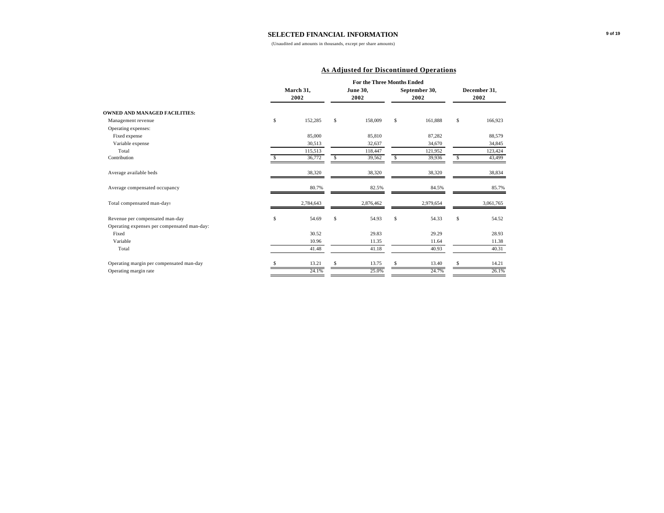(Unaudited and amounts in thousands, except per share amounts)

#### **As Adjusted for Discontinued Operations**

|                                             |   |                   |    | <b>For the Three Months Ended</b> |    |                       |   |                      |
|---------------------------------------------|---|-------------------|----|-----------------------------------|----|-----------------------|---|----------------------|
|                                             |   | March 31.<br>2002 |    | <b>June 30,</b><br>2002           |    | September 30.<br>2002 |   | December 31.<br>2002 |
| <b>OWNED AND MANAGED FACILITIES:</b>        |   |                   |    |                                   |    |                       |   |                      |
| Management revenue                          | S | 152,285           | \$ | 158,009                           | \$ | 161,888               | s | 166,923              |
| Operating expenses:                         |   |                   |    |                                   |    |                       |   |                      |
| Fixed expense                               |   | 85,000            |    | 85,810                            |    | 87,282                |   | 88,579               |
| Variable expense                            |   | 30,513            |    | 32,637                            |    | 34,670                |   | 34,845               |
| Total                                       |   | 115,513           |    | 118,447                           |    | 121,952               |   | 123,424              |
| Contribution                                |   | 36,772            | S  | 39,562                            | S  | 39,936                | S | 43,499               |
| Average available beds                      |   | 38,320            |    | 38,320                            |    | 38,320                |   | 38,834               |
| Average compensated occupancy               |   | 80.7%             |    | 82.5%                             |    | 84.5%                 |   | 85.7%                |
| Total compensated man-days                  |   | 2,784,643         |    | 2,876,462                         |    | 2,979,654             |   | 3,061,765            |
| Revenue per compensated man-day             | S | 54.69             | \$ | 54.93                             | S  | 54.33                 | s | 54.52                |
| Operating expenses per compensated man-day: |   |                   |    |                                   |    |                       |   |                      |
| Fixed                                       |   | 30.52             |    | 29.83                             |    | 29.29                 |   | 28.93                |
| Variable                                    |   | 10.96             |    | 11.35                             |    | 11.64                 |   | 11.38                |
| Total                                       |   | 41.48             |    | 41.18                             |    | 40.93                 |   | 40.31                |
| Operating margin per compensated man-day    |   | 13.21             | S  | 13.75                             | Ŝ  | 13.40                 | S | 14.21                |
| Operating margin rate                       |   | 24.1%             |    | 25.0%                             |    | 24.7%                 |   | 26.1%                |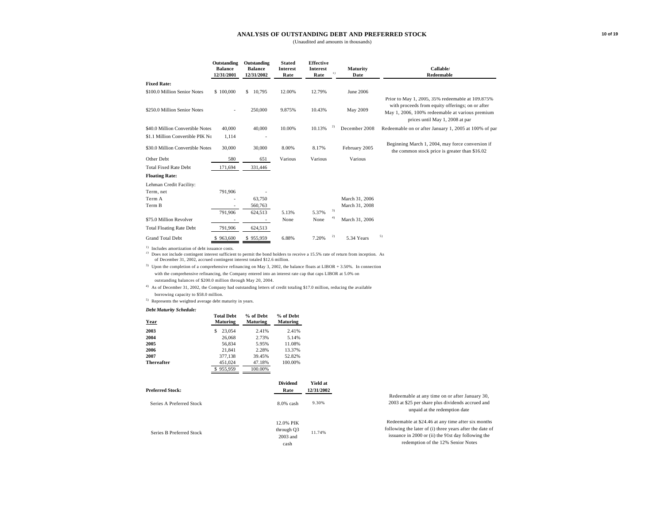#### **ANALYSIS OF OUTSTANDING DEBT AND PREFERRED STOCK**

(Unaudited and amounts in thousands)

|                                                                                                                                                                                                                                                                                           | Outstanding<br><b>Balance</b><br>12/31/2001  | Outstanding<br><b>Balance</b><br>12/31/2002 | <b>Stated</b><br><b>Interest</b><br>Rate | <b>Effective</b><br><b>Interest</b><br>Rate |         | Maturity<br>Date | Callable/<br>Redeemable                                                                                                                |
|-------------------------------------------------------------------------------------------------------------------------------------------------------------------------------------------------------------------------------------------------------------------------------------------|----------------------------------------------|---------------------------------------------|------------------------------------------|---------------------------------------------|---------|------------------|----------------------------------------------------------------------------------------------------------------------------------------|
| <b>Fixed Rate:</b>                                                                                                                                                                                                                                                                        |                                              |                                             |                                          |                                             |         |                  |                                                                                                                                        |
| \$100.0 Million Senior Notes                                                                                                                                                                                                                                                              | \$100,000                                    | \$ 10,795                                   | 12.00%                                   | 12.79%                                      |         | <b>June 2006</b> | Prior to May 1, 2005, 35% redeemable at 109.875%                                                                                       |
| \$250.0 Million Senior Notes                                                                                                                                                                                                                                                              |                                              | 250,000                                     | 9.875%                                   | 10.43%                                      |         | May 2009         | with proceeds from equity offerings; on or after<br>May 1, 2006, 100% redeemable at various premium<br>prices until May 1, 2008 at par |
| \$40.0 Million Convertible Notes                                                                                                                                                                                                                                                          | 40,000                                       | 40,000                                      | 10.00%                                   | 10.13%                                      | $^{2)}$ | December 2008    | Redeemable on or after January 1, 2005 at 100% of par                                                                                  |
| \$1.1 Million Convertible PIK No                                                                                                                                                                                                                                                          | 1.114                                        |                                             |                                          |                                             |         |                  |                                                                                                                                        |
| \$30.0 Million Convertible Notes                                                                                                                                                                                                                                                          | 30,000                                       | 30,000                                      | 8.00%                                    | 8.17%                                       |         | February 2005    | Beginning March 1, 2004, may force conversion if<br>the common stock price is greater than \$16.02                                     |
| Other Debt                                                                                                                                                                                                                                                                                | 580                                          | 651                                         | Various                                  | Various                                     |         | Various          |                                                                                                                                        |
| <b>Total Fixed Rate Debt</b>                                                                                                                                                                                                                                                              | 171,694                                      | 331,446                                     |                                          |                                             |         |                  |                                                                                                                                        |
| <b>Floating Rate:</b>                                                                                                                                                                                                                                                                     |                                              |                                             |                                          |                                             |         |                  |                                                                                                                                        |
| Lehman Credit Facility:                                                                                                                                                                                                                                                                   |                                              |                                             |                                          |                                             |         |                  |                                                                                                                                        |
| Term, net                                                                                                                                                                                                                                                                                 | 791,906                                      |                                             |                                          |                                             |         |                  |                                                                                                                                        |
| Term A                                                                                                                                                                                                                                                                                    |                                              | 63,750                                      |                                          |                                             |         | March 31, 2006   |                                                                                                                                        |
| Term B                                                                                                                                                                                                                                                                                    |                                              | 560,763                                     |                                          |                                             |         | March 31, 2008   |                                                                                                                                        |
|                                                                                                                                                                                                                                                                                           | 791.906                                      | 624,513                                     | 5.13%                                    | 5.37%                                       | 3)      |                  |                                                                                                                                        |
| \$75.0 Million Revolver                                                                                                                                                                                                                                                                   |                                              |                                             | None                                     | None                                        |         | March 31, 2006   |                                                                                                                                        |
| <b>Total Floating Rate Debt</b>                                                                                                                                                                                                                                                           | 791,906                                      | 624,513                                     |                                          |                                             |         |                  |                                                                                                                                        |
| <b>Grand Total Debt</b>                                                                                                                                                                                                                                                                   | \$963,600                                    | \$955,959                                   | 6.88%                                    | 7.20%                                       | 2)      | 5.34 Years       | 5)                                                                                                                                     |
| <sup>1)</sup> Includes amortization of debt issuance costs.<br><sup>2)</sup> Does not include contingent interest sufficient to permit the bond holders to receive a 15.5% rate of return from inception. As<br>of December 31, 2002, accrued contingent interest totaled \$12.6 million. |                                              |                                             |                                          |                                             |         |                  |                                                                                                                                        |
| $3)$ Upon the completion of a comprehensive refinancing on May 3, 2002, the balance floats at LIBOR + 3.50%. In connection                                                                                                                                                                |                                              |                                             |                                          |                                             |         |                  |                                                                                                                                        |
| with the comprehensive refinancing, the Company entered into an interest rate cap that caps LIBOR at 5.0% on                                                                                                                                                                              |                                              |                                             |                                          |                                             |         |                  |                                                                                                                                        |
| outstanding balances of \$200.0 million through May 20, 2004.                                                                                                                                                                                                                             |                                              |                                             |                                          |                                             |         |                  |                                                                                                                                        |
| $^{4)}$ As of December 31, 2002, the Company had outstanding letters of credit totaling \$17.0 million, reducing the available                                                                                                                                                            |                                              |                                             |                                          |                                             |         |                  |                                                                                                                                        |
| borrowing capacity to \$58.0 million.                                                                                                                                                                                                                                                     |                                              |                                             |                                          |                                             |         |                  |                                                                                                                                        |
| $5)$ Represents the weighted average debt maturity in years.                                                                                                                                                                                                                              |                                              |                                             |                                          |                                             |         |                  |                                                                                                                                        |
| <b>Debt Maturity Schedule:</b>                                                                                                                                                                                                                                                            | $T_{1}$ , and $T_{2}$ . The state of $T_{1}$ | $0/100$ $\mu$ $\sim$ $1/4$                  | 0/1000                                   |                                             |         |                  |                                                                                                                                        |

| 2003<br>23,054<br>2.41%<br>2.41%<br>2004<br>26,068<br>2.73%<br>5.14%<br>2005<br>11.08%<br>56.834<br>5.95% |
|-----------------------------------------------------------------------------------------------------------|
|                                                                                                           |
|                                                                                                           |
|                                                                                                           |
| 2006<br>21.841<br>2.28%<br>13.37%                                                                         |
| 2007<br>377.138<br>52.82%<br>39.45%                                                                       |
| 451.024<br>100.00%<br><b>Thereafter</b><br>47.18%                                                         |
| 955,959<br>100.00%                                                                                        |

| <b>Preferred Stock:</b>  | <b>Dividend</b><br>Rate                     | Yield at<br>12/31/2002 |                                                                                                                                                                                                             |
|--------------------------|---------------------------------------------|------------------------|-------------------------------------------------------------------------------------------------------------------------------------------------------------------------------------------------------------|
| Series A Preferred Stock | $8.0\%$ cash                                | 9.30%                  | Redeemable at any time on or after January 30,<br>2003 at \$25 per share plus dividends accrued and<br>unpaid at the redemption date                                                                        |
| Series B Preferred Stock | 12.0% PIK<br>through Q3<br>2003 and<br>cash | 11.74%                 | Redeemable at \$24.46 at any time after six months<br>following the later of (i) three years after the date of<br>issuance in 2000 or (ii) the 91st day following the<br>redemption of the 12% Senior Notes |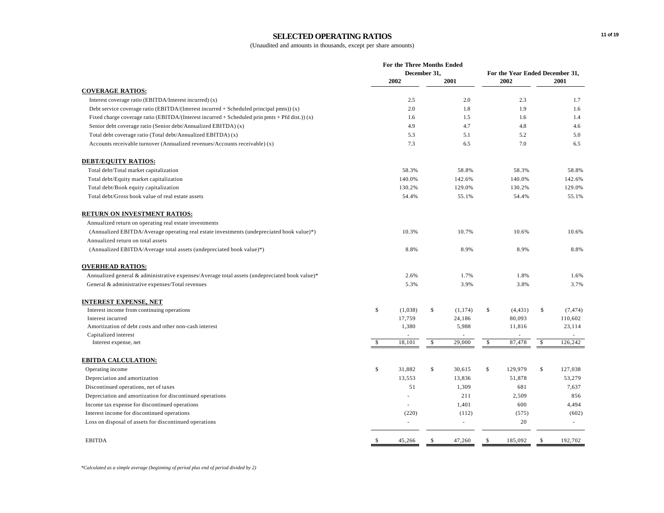#### **SELECTED OPERATING RATIOS**

|                                                                                                | For the Three Months Ended<br>December 31, |         |            | For the Year Ended December 31, |              |          |              |          |
|------------------------------------------------------------------------------------------------|--------------------------------------------|---------|------------|---------------------------------|--------------|----------|--------------|----------|
|                                                                                                |                                            | 2002    |            | 2001                            |              | 2002     |              | 2001     |
| <b>COVERAGE RATIOS:</b>                                                                        |                                            |         |            |                                 |              |          |              |          |
| Interest coverage ratio (EBITDA/Interest incurred) (x)                                         |                                            | 2.5     |            | 2.0                             |              | 2.3      |              | 1.7      |
| Debt service coverage ratio (EBITDA/(Interest incurred + Scheduled principal pmts)) $(x)$      |                                            | 2.0     |            | 1.8                             |              | 1.9      |              | 1.6      |
| Fixed charge coverage ratio (EBITDA/(Interest incurred + Scheduled prin pmts + Pfd dist.)) (x) |                                            | 1.6     |            | 1.5                             |              | 1.6      |              | 1.4      |
| Senior debt coverage ratio (Senior debt/Annualized EBITDA) (x)                                 |                                            | 4.9     |            | 4.7                             |              | 4.8      |              | 4.6      |
| Total debt coverage ratio (Total debt/Annualized EBITDA) (x)                                   |                                            | 5.3     |            | 5.1                             |              | 5.2      |              | 5.0      |
| Accounts receivable turnover (Annualized revenues/Accounts receivable) (x)                     |                                            | 7.3     |            | 6.5                             |              | 7.0      |              | 6.5      |
| <b>DEBT/EQUITY RATIOS:</b>                                                                     |                                            |         |            |                                 |              |          |              |          |
| Total debt/Total market capitalization                                                         |                                            | 58.3%   |            | 58.8%                           |              | 58.3%    |              | 58.8%    |
| Total debt/Equity market capitalization                                                        |                                            | 140.0%  |            | 142.6%                          |              | 140.0%   |              | 142.6%   |
| Total debt/Book equity capitalization                                                          |                                            | 130.2%  |            | 129.0%                          |              | 130.2%   |              | 129.0%   |
| Total debt/Gross book value of real estate assets                                              |                                            | 54.4%   |            | 55.1%                           |              | 54.4%    |              | 55.1%    |
| RETURN ON INVESTMENT RATIOS:                                                                   |                                            |         |            |                                 |              |          |              |          |
| Annualized return on operating real estate investments                                         |                                            |         |            |                                 |              |          |              |          |
| (Annualized EBITDA/Average operating real estate investments (undepreciated book value)*)      |                                            | 10.3%   |            | 10.7%                           |              | 10.6%    |              | 10.6%    |
| Annualized return on total assets                                                              |                                            |         |            |                                 |              |          |              |          |
| (Annualized EBITDA/Average total assets (undepreciated book value)*)                           |                                            | 8.8%    |            | 8.9%                            |              | 8.9%     |              | 8.8%     |
| <b>OVERHEAD RATIOS:</b>                                                                        |                                            |         |            |                                 |              |          |              |          |
| Annualized general & administrative expenses/Average total assets (undepreciated book value)*  |                                            | 2.6%    |            | 1.7%                            |              | 1.8%     |              | 1.6%     |
| General & administrative expenses/Total revenues                                               |                                            | 5.3%    |            | 3.9%                            |              | 3.8%     |              | 3.7%     |
| <b>INTEREST EXPENSE, NET</b>                                                                   |                                            |         |            |                                 |              |          |              |          |
| Interest income from continuing operations                                                     | \$                                         | (1,038) | \$         | (1, 174)                        | $\mathbb{S}$ | (4, 431) | $\mathbb{S}$ | (7, 474) |
| Interest incurred                                                                              |                                            | 17,759  |            | 24,186                          |              | 80,093   |              | 110,602  |
| Amortization of debt costs and other non-cash interest                                         |                                            | 1,380   |            | 5,988                           |              | 11,816   |              | 23,114   |
| Capitalized interest                                                                           |                                            |         |            |                                 |              |          |              |          |
| Interest expense, net                                                                          | <sup>\$</sup>                              | 18,101  | $\sqrt{2}$ | 29,000                          | $\sqrt{2}$   | 87,478   | $\sqrt{2}$   | 126,242  |
| <b>EBITDA CALCULATION:</b>                                                                     |                                            |         |            |                                 |              |          |              |          |
| Operating income                                                                               | \$                                         | 31,882  | \$         | 30,615                          | \$           | 129,979  | \$           | 127,038  |
| Depreciation and amortization                                                                  |                                            | 13,553  |            | 13,836                          |              | 51,878   |              | 53,279   |
| Discontinued operations, net of taxes                                                          |                                            | 51      |            | 1,309                           |              | 681      |              | 7,637    |
| Depreciation and amortization for discontinued operations                                      |                                            |         |            | 211                             |              | 2,509    |              | 856      |
| Income tax expense for discontinued operations                                                 |                                            | ÷       |            | 1,401                           |              | 600      |              | 4,494    |
| Interest income for discontinued operations                                                    |                                            | (220)   |            | (112)                           |              | (575)    |              | (602)    |
| Loss on disposal of assets for discontinued operations                                         |                                            | ä,      |            | $\sim$                          |              | 20       |              | $\sim$   |
| <b>EBITDA</b>                                                                                  | <sup>\$</sup>                              | 45,266  | \$         | 47,260                          | \$           | 185,092  | \$           | 192,702  |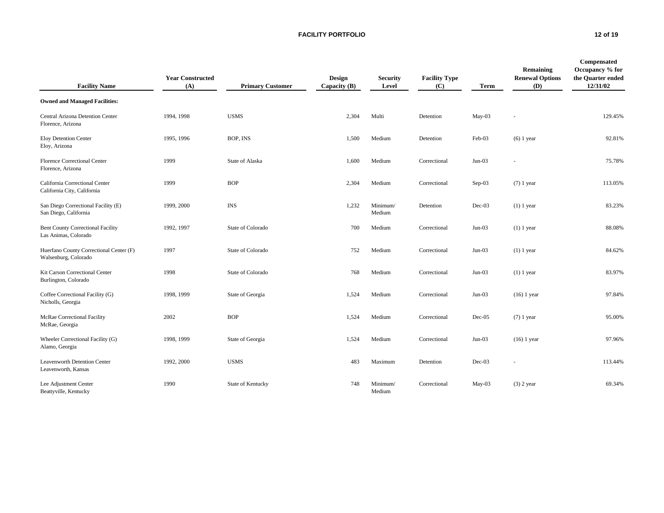**FACILITY PORTFOLIO 12 of 19**

| <b>Facility Name</b>                                             | <b>Year Constructed</b><br>(A) | <b>Primary Customer</b> | <b>Design</b><br>Capacity $(B)$ | <b>Security</b><br>Level | <b>Facility Type</b><br>(C) | <b>Term</b> | Remaining<br><b>Renewal Options</b><br>(D) | Compensated<br>Occupancy % for<br>the Quarter ended<br>12/31/02 |
|------------------------------------------------------------------|--------------------------------|-------------------------|---------------------------------|--------------------------|-----------------------------|-------------|--------------------------------------------|-----------------------------------------------------------------|
| <b>Owned and Managed Facilities:</b>                             |                                |                         |                                 |                          |                             |             |                                            |                                                                 |
| Central Arizona Detention Center<br>Florence, Arizona            | 1994, 1998                     | <b>USMS</b>             | 2,304                           | Multi                    | Detention                   | $May-03$    |                                            | 129.45%                                                         |
| Eloy Detention Center<br>Eloy, Arizona                           | 1995, 1996                     | BOP, INS                | 1,500                           | Medium                   | Detention                   | Feb-03      | $(6)$ 1 year                               | 92.81%                                                          |
| Florence Correctional Center<br>Florence, Arizona                | 1999                           | State of Alaska         | 1,600                           | Medium                   | Correctional                | $Jun-03$    | ÷                                          | 75.78%                                                          |
| California Correctional Center<br>California City, California    | 1999                           | <b>BOP</b>              | 2,304                           | Medium                   | Correctional                | $Sep-03$    | $(7)$ 1 year                               | 113.05%                                                         |
| San Diego Correctional Facility (E)<br>San Diego, California     | 1999, 2000                     | <b>INS</b>              | 1,232                           | Minimum/<br>Medium       | Detention                   | $Dec-03$    | $(1)$ 1 year                               | 83.23%                                                          |
| <b>Bent County Correctional Facility</b><br>Las Animas, Colorado | 1992, 1997                     | State of Colorado       | 700                             | Medium                   | Correctional                | $Jun-03$    | $(1)$ 1 year                               | 88.08%                                                          |
| Huerfano County Correctional Center (F)<br>Walsenburg, Colorado  | 1997                           | State of Colorado       | 752                             | Medium                   | Correctional                | $Jun-03$    | $(1)$ 1 year                               | 84.62%                                                          |
| Kit Carson Correctional Center<br>Burlington, Colorado           | 1998                           | State of Colorado       | 768                             | Medium                   | Correctional                | $Jun-03$    | $(1)$ 1 year                               | 83.97%                                                          |
| Coffee Correctional Facility (G)<br>Nicholls, Georgia            | 1998, 1999                     | State of Georgia        | 1,524                           | Medium                   | Correctional                | $Jun-03$    | $(16)$ 1 year                              | 97.84%                                                          |
| McRae Correctional Facility<br>McRae, Georgia                    | 2002                           | <b>BOP</b>              | 1,524                           | Medium                   | Correctional                | $Dec-05$    | $(7)$ 1 year                               | 95.00%                                                          |
| Wheeler Correctional Facility (G)<br>Alamo, Georgia              | 1998, 1999                     | State of Georgia        | 1,524                           | Medium                   | Correctional                | $Jun-03$    | $(16)$ 1 year                              | 97.96%                                                          |
| <b>Leavenworth Detention Center</b><br>Leavenworth, Kansas       | 1992, 2000                     | <b>USMS</b>             | 483                             | Maximum                  | Detention                   | $Dec-03$    |                                            | 113.44%                                                         |
| Lee Adjustment Center<br>Beattyville, Kentucky                   | 1990                           | State of Kentucky       | 748                             | Minimum/<br>Medium       | Correctional                | $May-03$    | $(3)$ 2 year                               | 69.34%                                                          |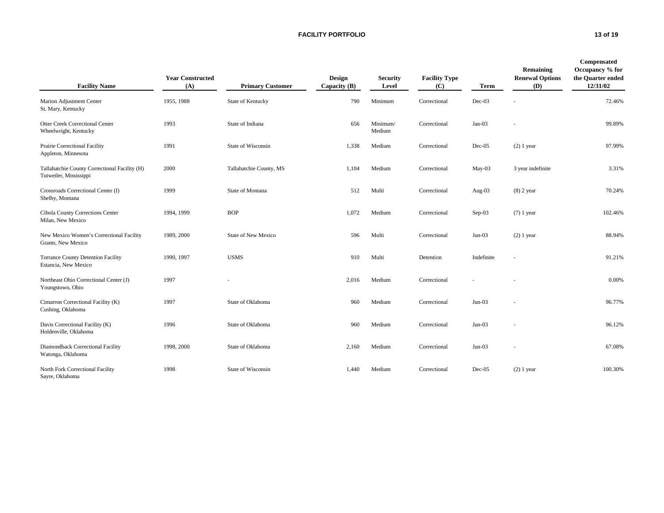#### **FACILITY PORTFOLIO 13 of 19**

| <b>Facility Name</b>                                                    | <b>Year Constructed</b><br>(A) | <b>Primary Customer</b> | <b>Design</b><br>Capacity $(B)$ | <b>Security</b><br>Level | <b>Facility Type</b><br>(C) | Term       | Remaining<br><b>Renewal Options</b><br>(D) | Compensated<br>Occupancy % for<br>the Quarter ended<br>12/31/02 |
|-------------------------------------------------------------------------|--------------------------------|-------------------------|---------------------------------|--------------------------|-----------------------------|------------|--------------------------------------------|-----------------------------------------------------------------|
| Marion Adjustment Center<br>St. Mary, Kentucky                          | 1955, 1988                     | State of Kentucky       | 790                             | Minimum                  | Correctional                | $Dec-03$   |                                            | 72.46%                                                          |
| <b>Otter Creek Correctional Center</b><br>Wheelwright, Kentucky         | 1993                           | State of Indiana        | 656                             | Minimum/<br>Medium       | Correctional                | $Jan-03$   |                                            | 99.89%                                                          |
| Prairie Correctional Facility<br>Appleton, Minnesota                    | 1991                           | State of Wisconsin      | 1,338                           | Medium                   | Correctional                | $Dec-05$   | $(2)$ 1 year                               | 97.99%                                                          |
| Tallahatchie County Correctional Facility (H)<br>Tutweiler, Mississippi | 2000                           | Tallahatchie County, MS | 1.104                           | Medium                   | Correctional                | $May-03$   | 3 year indefinite                          | 3.31%                                                           |
| Crossroads Correctional Center (I)<br>Shelby, Montana                   | 1999                           | State of Montana        | 512                             | Multi                    | Correctional                | Aug- $03$  | $(8)$ 2 year                               | 70.24%                                                          |
| Cibola County Corrections Center<br>Milan, New Mexico                   | 1994, 1999                     | <b>BOP</b>              | 1,072                           | Medium                   | Correctional                | $Sep-03$   | $(7)$ 1 year                               | 102.46%                                                         |
| New Mexico Women's Correctional Facility<br>Grants, New Mexico          | 1989, 2000                     | State of New Mexico     | 596                             | Multi                    | Correctional                | $Jun-03$   | $(2)$ 1 year                               | 88.94%                                                          |
| <b>Torrance County Detention Facility</b><br>Estancia, New Mexico       | 1990, 1997                     | <b>USMS</b>             | 910                             | Multi                    | Detention                   | Indefinite |                                            | 91.21%                                                          |
| Northeast Ohio Correctional Center (J)<br>Youngstown, Ohio              | 1997                           |                         | 2,016                           | Medium                   | Correctional                |            |                                            | 0.00%                                                           |
| Cimarron Correctional Facility (K)<br>Cushing, Oklahoma                 | 1997                           | State of Oklahoma       | 960                             | Medium                   | Correctional                | $Jun-03$   |                                            | 96.77%                                                          |
| Davis Correctional Facility (K)<br>Holdenville, Oklahoma                | 1996                           | State of Oklahoma       | 960                             | Medium                   | Correctional                | $Jun-03$   |                                            | 96.12%                                                          |
| Diamondback Correctional Facility<br>Watonga, Oklahoma                  | 1998, 2000                     | State of Oklahoma       | 2,160                           | Medium                   | Correctional                | $Jun-03$   | ٠                                          | 67.08%                                                          |
| North Fork Correctional Facility<br>Sayre, Oklahoma                     | 1998                           | State of Wisconsin      | 1,440                           | Medium                   | Correctional                | $Dec-05$   | $(2)$ 1 year                               | 100.30%                                                         |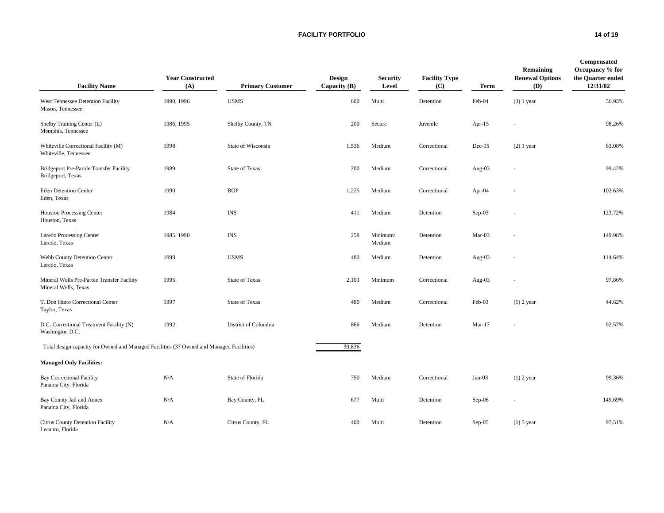#### **FACILITY PORTFOLIO 14 of 19**

| <b>Facility Name</b>                                                                     | <b>Year Constructed</b><br>(A) | <b>Primary Customer</b> | <b>Design</b><br>Capacity (B) | <b>Security</b><br>Level | <b>Facility Type</b><br>(C) | Term      | Remaining<br><b>Renewal Options</b><br>(D) | Compensated<br>Occupancy % for<br>the Quarter ended<br>12/31/02 |
|------------------------------------------------------------------------------------------|--------------------------------|-------------------------|-------------------------------|--------------------------|-----------------------------|-----------|--------------------------------------------|-----------------------------------------------------------------|
| West Tennessee Detention Facility<br>Mason, Tennessee                                    | 1990, 1996                     | <b>USMS</b>             | 600                           | Multi                    | Detention                   | Feb-04    | $(3)$ 1 year                               | 56.93%                                                          |
| Shelby Training Center (L)<br>Memphis, Tennessee                                         | 1986, 1995                     | Shelby County, TN       | 200                           | Secure                   | Juvenile                    | Apr- $15$ |                                            | 98.26%                                                          |
| Whiteville Correctional Facility (M)<br>Whiteville, Tennessee                            | 1998                           | State of Wisconsin      | 1,536                         | Medium                   | Correctional                | $Dec-05$  | $(2)$ 1 year                               | 63.08%                                                          |
| <b>Bridgeport Pre-Parole Transfer Facility</b><br>Bridgeport, Texas                      | 1989                           | <b>State of Texas</b>   | 200                           | Medium                   | Correctional                | Aug-03    |                                            | 99.42%                                                          |
| <b>Eden Detention Center</b><br>Eden, Texas                                              | 1990                           | <b>BOP</b>              | 1,225                         | Medium                   | Correctional                | Apr-04    |                                            | 102.63%                                                         |
| Houston Processing Center<br>Houston, Texas                                              | 1984                           | <b>INS</b>              | 411                           | Medium                   | Detention                   | $Sep-03$  |                                            | 123.72%                                                         |
| <b>Laredo Processing Center</b><br>Laredo, Texas                                         | 1985, 1990                     | <b>INS</b>              | 258                           | Minimum/<br>Medium       | Detention                   | Mar-03    |                                            | 149.98%                                                         |
| Webb County Detention Center<br>Laredo, Texas                                            | 1998                           | <b>USMS</b>             | 480                           | Medium                   | Detention                   | Aug-03    |                                            | 114.64%                                                         |
| Mineral Wells Pre-Parole Transfer Facility<br>Mineral Wells, Texas                       | 1995                           | <b>State of Texas</b>   | 2,103                         | Minimum                  | Correctional                | Aug-03    |                                            | 97.86%                                                          |
| T. Don Hutto Correctional Center<br>Taylor, Texas                                        | 1997                           | <b>State of Texas</b>   | 480                           | Medium                   | Correctional                | Feb-03    | $(1)$ 2 year                               | 44.62%                                                          |
| D.C. Correctional Treatment Facility (N)<br>Washington D.C.                              | 1992                           | District of Columbia    | 866                           | Medium                   | Detention                   | $Mar-17$  |                                            | 92.57%                                                          |
| Total design capacity for Owned and Managed Facilities (37 Owned and Managed Facilities) |                                |                         | 39,836                        |                          |                             |           |                                            |                                                                 |
| <b>Managed Only Facilities:</b>                                                          |                                |                         |                               |                          |                             |           |                                            |                                                                 |
| <b>Bay Correctional Facility</b><br>Panama City, Florida                                 | N/A                            | State of Florida        | 750                           | Medium                   | Correctional                | $Jun-03$  | $(1)$ 2 year                               | 99.36%                                                          |
| Bay County Jail and Annex<br>Panama City, Florida                                        | N/A                            | Bay County, FL          | 677                           | Multi                    | Detention                   | Sep-06    |                                            | 149.69%                                                         |
| Citrus County Detention Facility<br>Lecanto, Florida                                     | N/A                            | Citrus County, FL       | 400                           | Multi                    | Detention                   | $Sep-05$  | $(1)$ 5 year                               | 97.51%                                                          |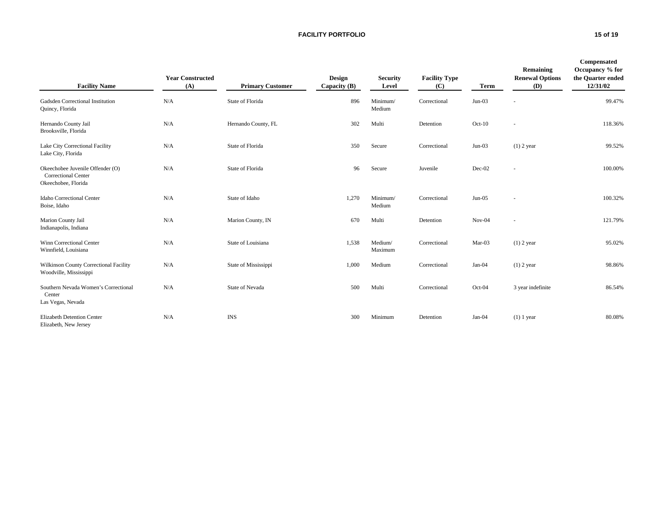#### **FACILITY PORTFOLIO 15 of 19**

| <b>Facility Name</b>                                                                  | <b>Year Constructed</b><br>(A) | <b>Primary Customer</b> | <b>Design</b><br>Capacity $(B)$ | <b>Security</b><br>Level | <b>Facility Type</b><br>(C) | <b>Term</b> | Remaining<br><b>Renewal Options</b><br>(D) | Compensated<br>Occupancy % for<br>the Quarter ended<br>12/31/02 |
|---------------------------------------------------------------------------------------|--------------------------------|-------------------------|---------------------------------|--------------------------|-----------------------------|-------------|--------------------------------------------|-----------------------------------------------------------------|
| Gadsden Correctional Institution<br>Quincy, Florida                                   | N/A                            | State of Florida        | 896                             | Minimum/<br>Medium       | Correctional                | $Jun-03$    | $\sim$                                     | 99.47%                                                          |
| Hernando County Jail<br>Brooksville, Florida                                          | N/A                            | Hernando County, FL     | 302                             | Multi                    | Detention                   | $Oct-10$    | ٠                                          | 118.36%                                                         |
| Lake City Correctional Facility<br>Lake City, Florida                                 | N/A                            | State of Florida        | 350                             | Secure                   | Correctional                | $Jun-03$    | $(1)$ 2 year                               | 99.52%                                                          |
| Okeechobee Juvenile Offender (O)<br><b>Correctional Center</b><br>Okeechobee, Florida | N/A                            | State of Florida        | 96                              | Secure                   | Juvenile                    | Dec-02      | $\sim$                                     | 100.00%                                                         |
| Idaho Correctional Center<br>Boise, Idaho                                             | N/A                            | State of Idaho          | 1,270                           | Minimum/<br>Medium       | Correctional                | $Jun-05$    | $\sim$                                     | 100.32%                                                         |
| Marion County Jail<br>Indianapolis, Indiana                                           | N/A                            | Marion County, IN       | 670                             | Multi                    | Detention                   | $Nov-04$    | ÷.                                         | 121.79%                                                         |
| Winn Correctional Center<br>Winnfield, Louisiana                                      | N/A                            | State of Louisiana      | 1,538                           | Medium/<br>Maximum       | Correctional                | Mar-03      | $(1)$ 2 year                               | 95.02%                                                          |
| Wilkinson County Correctional Facility<br>Woodville, Mississippi                      | N/A                            | State of Mississippi    | 1,000                           | Medium                   | Correctional                | Jan-04      | $(1)$ 2 year                               | 98.86%                                                          |
| Southern Nevada Women's Correctional<br>Center<br>Las Vegas, Nevada                   | N/A                            | State of Nevada         | 500                             | Multi                    | Correctional                | Oct-04      | 3 year indefinite                          | 86.54%                                                          |
| <b>Elizabeth Detention Center</b><br>Elizabeth, New Jersey                            | N/A                            | <b>INS</b>              | 300                             | Minimum                  | Detention                   | Jan-04      | $(1)$ 1 year                               | 80.08%                                                          |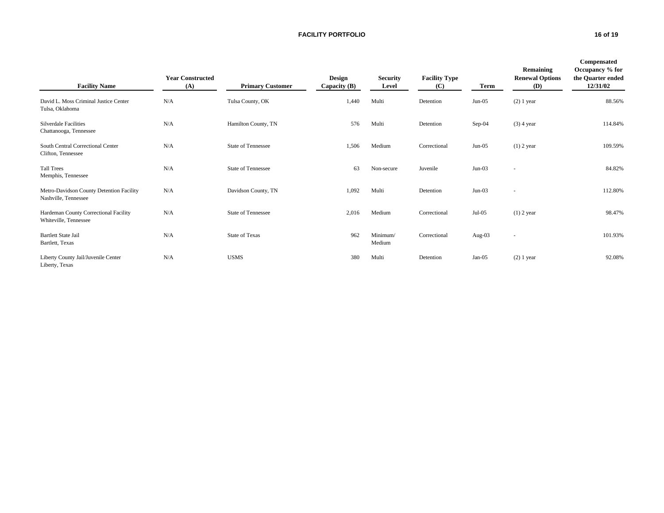#### **FACILITY PORTFOLIO 16 of 19**

| <b>Facility Name</b>                                             | <b>Year Constructed</b><br>(A) | <b>Primary Customer</b>   | <b>Design</b><br>Capacity $(B)$ | <b>Security</b><br>Level | <b>Facility Type</b><br>(C) | Term      | Remaining<br><b>Renewal Options</b><br>(D) | Compensated<br>Occupancy % for<br>the Quarter ended<br>12/31/02 |
|------------------------------------------------------------------|--------------------------------|---------------------------|---------------------------------|--------------------------|-----------------------------|-----------|--------------------------------------------|-----------------------------------------------------------------|
| David L. Moss Criminal Justice Center<br>Tulsa, Oklahoma         | N/A                            | Tulsa County, OK          | 1,440                           | Multi                    | Detention                   | $Jun-05$  | $(2)$ 1 year                               | 88.56%                                                          |
| <b>Silverdale Facilities</b><br>Chattanooga, Tennessee           | N/A                            | Hamilton County, TN       | 576                             | Multi                    | Detention                   | $Sep-04$  | $(3)$ 4 year                               | 114.84%                                                         |
| South Central Correctional Center<br>Clifton, Tennessee          | N/A                            | <b>State of Tennessee</b> | 1,506                           | Medium                   | Correctional                | $Jun-05$  | $(1)$ 2 year                               | 109.59%                                                         |
| <b>Tall Trees</b><br>Memphis, Tennessee                          | N/A                            | State of Tennessee        | 63                              | Non-secure               | Juvenile                    | $Jun-03$  | $\overline{\phantom{a}}$                   | 84.82%                                                          |
| Metro-Davidson County Detention Facility<br>Nashville, Tennessee | N/A                            | Davidson County, TN       | 1,092                           | Multi                    | Detention                   | $Jun-03$  | $\sim$                                     | 112.80%                                                         |
| Hardeman County Correctional Facility<br>Whiteville, Tennessee   | N/A                            | <b>State of Tennessee</b> | 2,016                           | Medium                   | Correctional                | $Jul-05$  | $(1)$ 2 year                               | 98.47%                                                          |
| <b>Bartlett State Jail</b><br>Bartlett, Texas                    | N/A                            | <b>State of Texas</b>     | 962                             | Minimum/<br>Medium       | Correctional                | Aug- $03$ | $\sim$                                     | 101.93%                                                         |
| Liberty County Jail/Juvenile Center<br>Liberty, Texas            | N/A                            | <b>USMS</b>               | 380                             | Multi                    | Detention                   | $Jan-05$  | $(2)$ 1 year                               | 92.08%                                                          |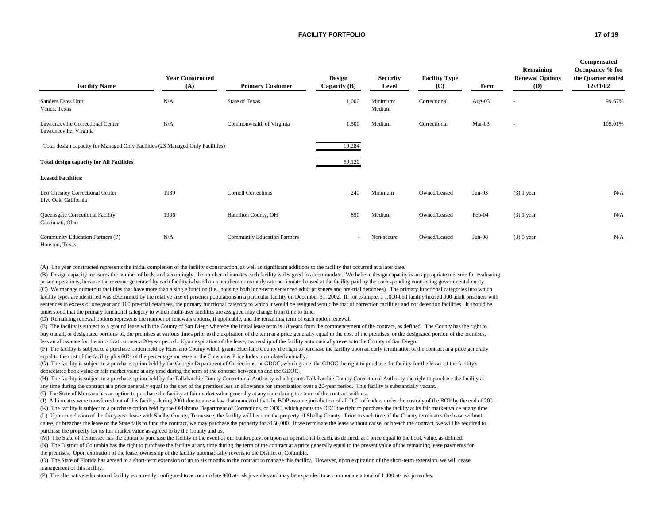#### **FACILITY PORTFOLIO 17 of 19**

| <b>Facility Name</b>                                                           | <b>Year Constructed</b><br>(A) | <b>Primary Customer</b>             | <b>Design</b><br>Capacity $(B)$ | <b>Security</b><br>Level | <b>Facility Type</b><br>(C) | Term      | Remaining<br><b>Renewal Options</b><br>(D) | Compensated<br>Occupancy % for<br>the Quarter ended<br>12/31/02 |
|--------------------------------------------------------------------------------|--------------------------------|-------------------------------------|---------------------------------|--------------------------|-----------------------------|-----------|--------------------------------------------|-----------------------------------------------------------------|
| Sanders Estes Unit<br>Venus, Texas                                             | N/A                            | <b>State of Texas</b>               | 1,000                           | Minimum/<br>Medium       | Correctional                | Aug- $03$ | $\sim$                                     | 99.67%                                                          |
| Lawrenceville Correctional Center<br>Lawrenceville, Virginia                   | N/A                            | Commonwealth of Virginia            | 1,500                           | Medium                   | Correctional                | Mar-03    | $\sim$                                     | 105.01%                                                         |
| Total design capacity for Managed Only Facilities (23 Managed Only Facilities) |                                |                                     | 19,284                          |                          |                             |           |                                            |                                                                 |
| <b>Total design capacity for All Facilities</b>                                |                                |                                     | 59,120                          |                          |                             |           |                                            |                                                                 |
| <b>Leased Facilities:</b>                                                      |                                |                                     |                                 |                          |                             |           |                                            |                                                                 |
| Leo Chesney Correctional Center<br>Live Oak, California                        | 1989                           | <b>Cornell Corrections</b>          | 240                             | Minimum                  | Owned/Leased                | $Jun-03$  | $(3)$ 1 year                               | N/A                                                             |
| Queensgate Correctional Facility<br>Cincinnati, Ohio                           | 1906                           | Hamilton County, OH                 | 850                             | Medium                   | Owned/Leased                | Feb-04    | $(3)$ 1 year                               | N/A                                                             |
| Community Education Partners (P)<br>Houston, Texas                             | N/A                            | <b>Community Education Partners</b> | $\sim$                          | Non-secure               | Owned/Leased                | $Jun-08$  | $(3)$ 5 year                               | N/A                                                             |

(A) The year constructed represents the initial completion of the facility's construction, as well as significant additions to the facility that occurred at a later date.

(B) Design capacity measures the number of beds, and accordingly, the number of inmates each facility is designed to accommodate. We believe design capacity is an appropriate measure for evaluating prison operations, because the revenue generated by each facility is based on a per diem or monthly rate per inmate housed at the facility paid by the corresponding contracting governmental entity. (C) We manage numerous facilities that have more than a single function (i.e., housing both long-term sentenced adult prisoners and pre-trial detainees). The primary functional categories into which facility types are identified was determined by the relative size of prisoner populations in a particular facility on December 31, 2002. If, for example, a 1,000-bed facility housed 900 adult prisoners with sentences in excess of one year and 100 pre-trial detainees, the primary functional category to which it would be assigned would be that of correction facilities and not detention facilities. It should be understood that the primary functional category to which multi-user facilities are assigned may change from time to time.

(D) Remaining renewal options represents the number of renewals options, if applicable, and the remaining term of each option renewal.

(E) The facility is subject to a ground lease with the County of San Diego whereby the initial lease term is 18 years from the commencement of the contract, as defined. The County has the right to buy out all, or designated portions of, the premises at various times prior to the expiration of the term at a price generally equal to the cost of the premises, or the designated portion of the premises,

less an allowance for the amortization over a 20-year period. Upon expiration of the lease, ownership of the facility automatically reverts to the County of San Diego.

(F) The facility is subject to a purchase option held by Huerfano County which grants Huerfano County the right to purchase the facility upon an early termination of the contract at a price generally equal to the cost of the facility plus 80% of the percentage increase in the Consumer Price Index, cumulated annually.

(G) The facility is subject to a purchase option held by the Georgia Department of Corrections, or GDOC, which grants the GDOC the right to purchase the facility for the lesser of the facility's depreciated book value or fair market value at any time during the term of the contract between us and the GDOC.

(H) The facility is subject to a purchase option held by the Tallahatchie County Correctional Authority which grants Tallahatchie County Correctional Authority the right to purchase the facility at any time during the contract at a price generally equal to the cost of the premises less an allowance for amortization over a 20-year period. This facility is substantially vacant.

(I) The State of Montana has an option to purchase the facility at fair market value generally at any time during the term of the contract with us.

(J) All inmates were transferred out of this facility during 2001 due to a new law that mandated that the BOP assume jurisdiction of all D.C. offenders under the custody of the BOP by the end of 2001.

(K) The facility is subject to a purchase option held by the Oklahoma Department of Corrections, or ODC, which grants the ODC the right to purchase the facility at its fair market value at any time. (L) Upon conclusion of the thirty-year lease with Shelby County, Tennessee, the facility will become the property of Shelby County. Prior to such time, if the County terminates the lease without cause, or breaches the lease or the State fails to fund the contract, we may purchase the property for \$150,000. If we terminate the lease without cause, or breach the contract, we will be required to purchase the property for its fair market value as agreed to by the County and us.

(M) The State of Tennessee has the option to purchase the facility in the event of our bankruptcy, or upon an operational breach, as defined, at a price equal to the book value, as defined. (N) The District of Columbia has the right to purchase the facility at any time during the term of the contract at a price generally equal to the present value of the remaining lease payments for the premises. Upon expiration of the lease, ownership of the facility automatically reverts to the District of Columbia.

(O) The State of Florida has agreed to a short-term extension of up to six months to the contract to manage this facility. However, upon expiration of the short-term extension, we will cease management of this facility.

(P) The alternative educational facility is currently configured to accommodate 900 at-risk juveniles and may be expanded to accommodate a total of 1,400 at-risk juveniles.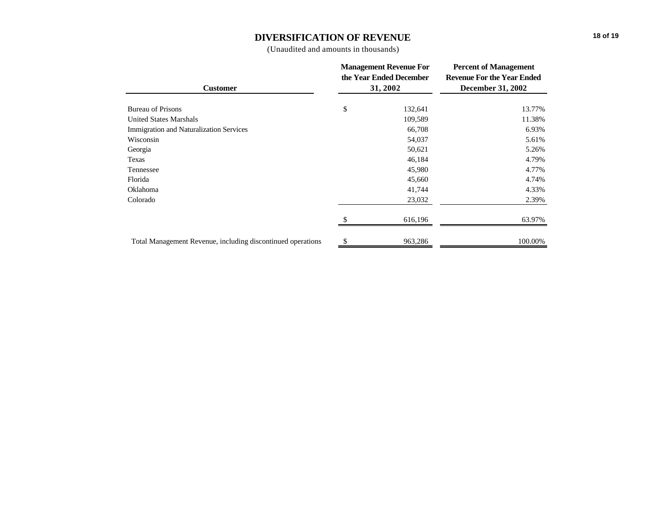## **DIVERSIFICATION OF REVENUE**

(Unaudited and amounts in thousands)

|                                                             | <b>Management Revenue For</b><br>the Year Ended December | <b>Percent of Management</b><br><b>Revenue For the Year Ended</b> |  |  |
|-------------------------------------------------------------|----------------------------------------------------------|-------------------------------------------------------------------|--|--|
| <b>Customer</b>                                             | 31, 2002                                                 | <b>December 31, 2002</b>                                          |  |  |
| <b>Bureau of Prisons</b>                                    | \$<br>132,641                                            | 13.77%                                                            |  |  |
| <b>United States Marshals</b>                               | 109,589                                                  | 11.38%                                                            |  |  |
| <b>Immigration and Naturalization Services</b>              | 66,708                                                   | 6.93%                                                             |  |  |
| Wisconsin                                                   | 54,037                                                   | 5.61%                                                             |  |  |
| Georgia                                                     | 50,621                                                   | 5.26%                                                             |  |  |
| Texas                                                       | 46,184                                                   | 4.79%                                                             |  |  |
| Tennessee                                                   | 45,980                                                   | 4.77%                                                             |  |  |
| Florida                                                     | 45,660                                                   | 4.74%                                                             |  |  |
| Oklahoma                                                    | 41,744                                                   | 4.33%                                                             |  |  |
| Colorado                                                    | 23,032                                                   | 2.39%                                                             |  |  |
|                                                             | 616,196                                                  | 63.97%                                                            |  |  |
| Total Management Revenue, including discontinued operations | 963,286                                                  | 100.00%                                                           |  |  |